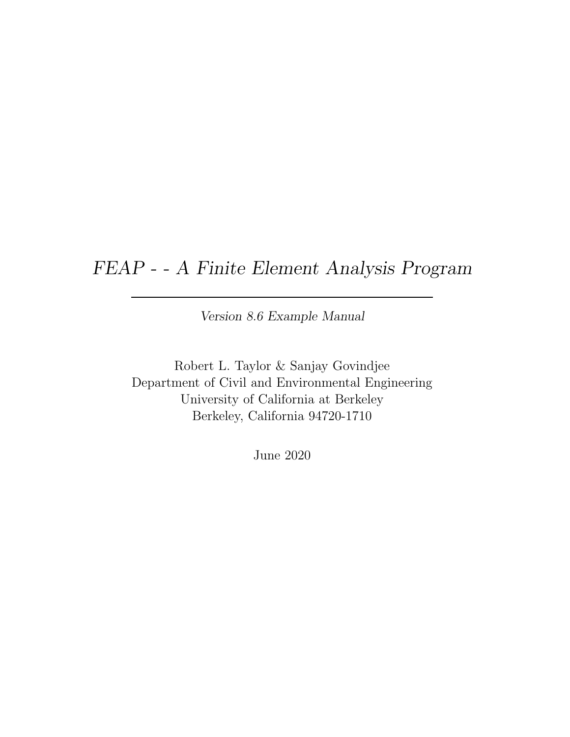### FEAP - - A Finite Element Analysis Program

Version 8.6 Example Manual

Robert L. Taylor & Sanjay Govindjee Department of Civil and Environmental Engineering University of California at Berkeley Berkeley, California 94720-1710

June 2020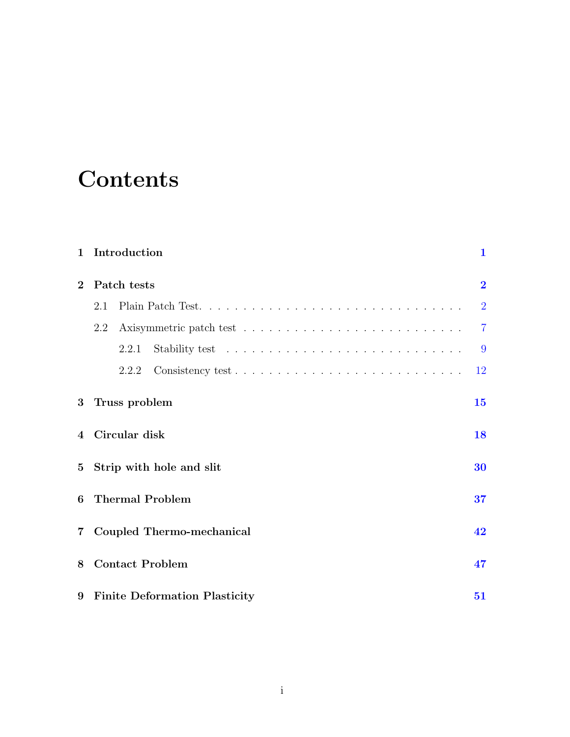# **Contents**

| $\mathbf{1}$   | Introduction                    | $\mathbf{1}$   |  |  |
|----------------|---------------------------------|----------------|--|--|
| $\mathbf{2}$   | Patch tests                     |                |  |  |
|                | 2.1                             | $\overline{2}$ |  |  |
|                | 2.2                             | $\overline{7}$ |  |  |
|                | 2.2.1                           | 9              |  |  |
|                | 2.2.2                           | 12             |  |  |
| 3              | Truss problem                   | 15             |  |  |
| $\overline{4}$ | Circular disk                   | 18             |  |  |
| $5^{\circ}$    | Strip with hole and slit<br>30  |                |  |  |
| 6              | <b>Thermal Problem</b><br>37    |                |  |  |
| $\overline{7}$ | Coupled Thermo-mechanical       | 42             |  |  |
| 8              | <b>Contact Problem</b>          | 47             |  |  |
|                | 9 Finite Deformation Plasticity | 51             |  |  |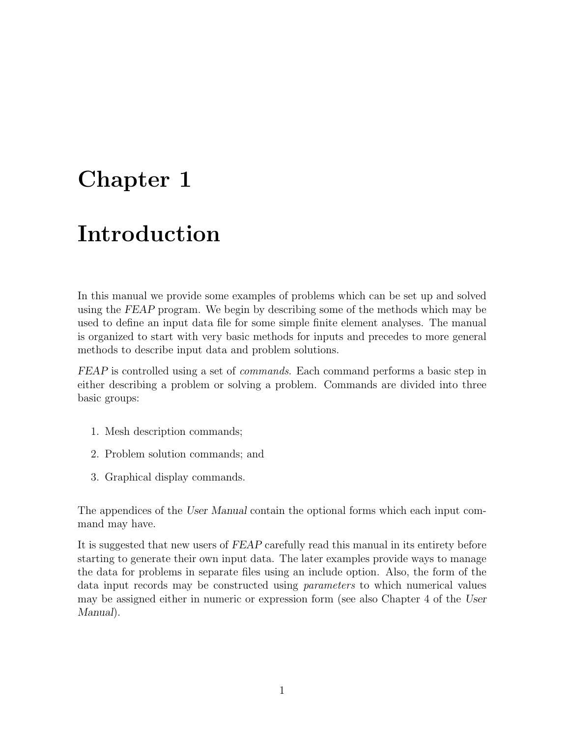## <span id="page-2-0"></span>Chapter 1

# Introduction

In this manual we provide some examples of problems which can be set up and solved using the FEAP program. We begin by describing some of the methods which may be used to define an input data file for some simple finite element analyses. The manual is organized to start with very basic methods for inputs and precedes to more general methods to describe input data and problem solutions.

FEAP is controlled using a set of *commands*. Each command performs a basic step in either describing a problem or solving a problem. Commands are divided into three basic groups:

- 1. Mesh description commands;
- 2. Problem solution commands; and
- 3. Graphical display commands.

The appendices of the User Manual contain the optional forms which each input command may have.

It is suggested that new users of FEAP carefully read this manual in its entirety before starting to generate their own input data. The later examples provide ways to manage the data for problems in separate files using an include option. Also, the form of the data input records may be constructed using parameters to which numerical values may be assigned either in numeric or expression form (see also Chapter 4 of the User Manual).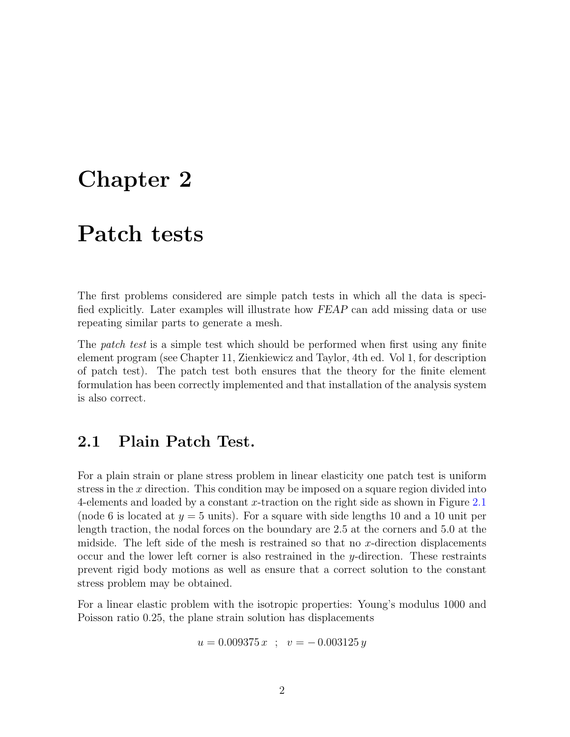### <span id="page-3-0"></span>Chapter 2

### Patch tests

The first problems considered are simple patch tests in which all the data is specified explicitly. Later examples will illustrate how FEAP can add missing data or use repeating similar parts to generate a mesh.

The *patch test* is a simple test which should be performed when first using any finite element program (see Chapter 11, Zienkiewicz and Taylor, 4th ed. Vol 1, for description of patch test). The patch test both ensures that the theory for the finite element formulation has been correctly implemented and that installation of the analysis system is also correct.

### <span id="page-3-1"></span>2.1 Plain Patch Test.

For a plain strain or plane stress problem in linear elasticity one patch test is uniform stress in the  $x$  direction. This condition may be imposed on a square region divided into 4-elements and loaded by a constant  $x$ -traction on the right side as shown in Figure [2.1](#page-4-0) (node 6 is located at  $y = 5$  units). For a square with side lengths 10 and a 10 unit per length traction, the nodal forces on the boundary are 2.5 at the corners and 5.0 at the midside. The left side of the mesh is restrained so that no x-direction displacements occur and the lower left corner is also restrained in the y-direction. These restraints prevent rigid body motions as well as ensure that a correct solution to the constant stress problem may be obtained.

For a linear elastic problem with the isotropic properties: Young's modulus 1000 and Poisson ratio 0.25, the plane strain solution has displacements

$$
u = 0.009375 x \; ; \; v = -0.003125 y
$$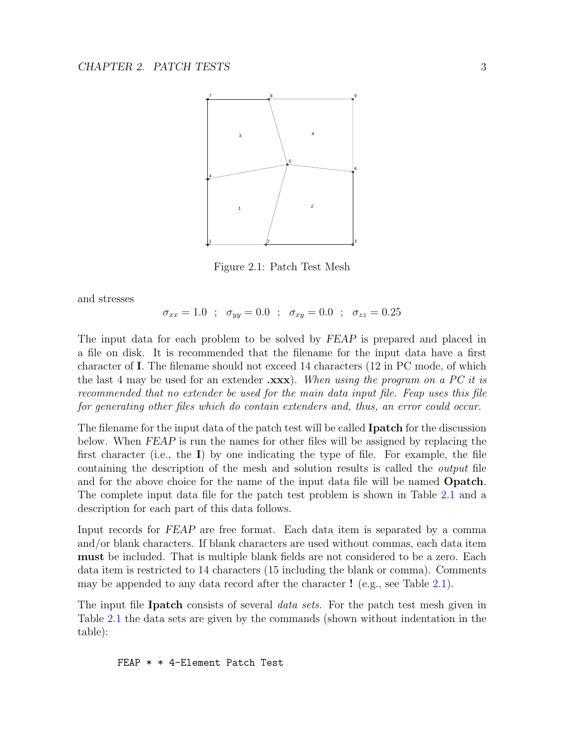

<span id="page-4-0"></span>Figure 2.1: Patch Test Mesh

and stresses

$$
\sigma_{xx} = 1.0
$$
;  $\sigma_{yy} = 0.0$ ;  $\sigma_{xy} = 0.0$ ;  $\sigma_{zz} = 0.25$ 

The input data for each problem to be solved by FEAP is prepared and placed in a file on disk. It is recommended that the filename for the input data have a first character of I. The filename should not exceed 14 characters (12 in PC mode, of which the last 4 may be used for an extender  $\mathbf{.xxx}$ . When using the program on a PC it is recommended that no extender be used for the main data input file. Feap uses this file for generating other files which do contain extenders and, thus, an error could occur.

The filename for the input data of the patch test will be called **Ipatch** for the discussion below. When FEAP is run the names for other files will be assigned by replacing the first character (i.e., the  $I$ ) by one indicating the type of file. For example, the file containing the description of the mesh and solution results is called the output file and for the above choice for the name of the input data file will be named **Opatch**. The complete input data file for the patch test problem is shown in Table [2.1](#page-5-0) and a description for each part of this data follows.

Input records for FEAP are free format. Each data item is separated by a comma and/or blank characters. If blank characters are used without commas, each data item must be included. That is multiple blank fields are not considered to be a zero. Each data item is restricted to 14 characters (15 including the blank or comma). Comments may be appended to any data record after the character ! (e.g., see Table [2.1\)](#page-5-0).

The input file Ipatch consists of several *data sets*. For the patch test mesh given in Table [2.1](#page-5-0) the data sets are given by the commands (shown without indentation in the table):

FEAP \* \* 4-Element Patch Test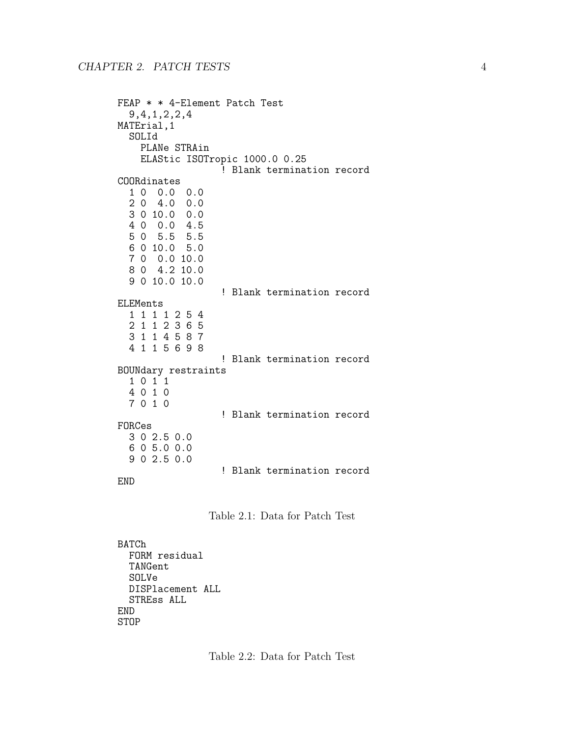```
FEAP * * 4-Element Patch Test
  9,4,1,2,2,4
MATErial,1
  SOLId
    PLANe STRAin
    ELAStic ISOTropic 1000.0 0.25
                  ! Blank termination record
COORdinates
  1 0 0.0 0.0
  2 0 4.0 0.0
  3 0 10.0 0.0
  4 0 0.0 4.5
  5 0 5.5 5.5
  6 0 10.0 5.0
 7 0 0.0 10.0
 8 0 4.2 10.0
  9 0 10.0 10.0
                  ! Blank termination record
ELEMents
  1 1 1 1 2 5 4
  2 1 1 2 3 6 5
  3 1 1 4 5 8 7
  4 1 1 5 6 9 8
                  ! Blank termination record
BOUNdary restraints
  1 0 1 1
  4 0 1 0
  7 0 1 0
                  ! Blank termination record
FORCes
 3 0 2.5 0.0
  6 0 5.0 0.0
 9 0 2.5 0.0
                  ! Blank termination record
END
```
<span id="page-5-1"></span><span id="page-5-0"></span>

BATCh FORM residual TANGent SOLVe DISPlacement ALL STREss ALL END STOP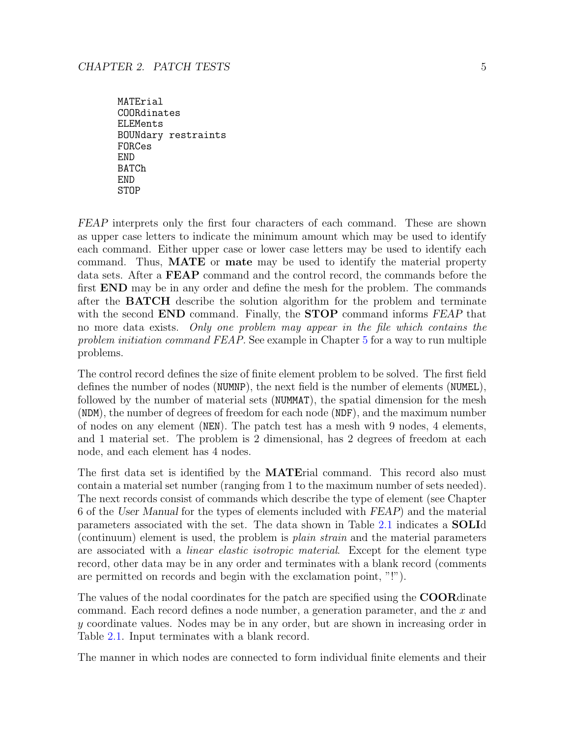MATErial COORdinates ELEMents BOUNdary restraints FORCes END BATCh END **STOP** 

FEAP interprets only the first four characters of each command. These are shown as upper case letters to indicate the minimum amount which may be used to identify each command. Either upper case or lower case letters may be used to identify each command. Thus, MATE or mate may be used to identify the material property data sets. After a FEAP command and the control record, the commands before the first END may be in any order and define the mesh for the problem. The commands after the BATCH describe the solution algorithm for the problem and terminate with the second **END** command. Finally, the **STOP** command informs FEAP that no more data exists. Only one problem may appear in the file which contains the problem initiation command FEAP. See example in Chapter [5](#page-31-0) for a way to run multiple problems.

The control record defines the size of finite element problem to be solved. The first field defines the number of nodes (NUMNP), the next field is the number of elements (NUMEL), followed by the number of material sets (NUMMAT), the spatial dimension for the mesh (NDM), the number of degrees of freedom for each node (NDF), and the maximum number of nodes on any element (NEN). The patch test has a mesh with 9 nodes, 4 elements, and 1 material set. The problem is 2 dimensional, has 2 degrees of freedom at each node, and each element has 4 nodes.

The first data set is identified by the MATErial command. This record also must contain a material set number (ranging from 1 to the maximum number of sets needed). The next records consist of commands which describe the type of element (see Chapter 6 of the User Manual for the types of elements included with FEAP) and the material parameters associated with the set. The data shown in Table [2.1](#page-5-0) indicates a SOLId (continuum) element is used, the problem is plain strain and the material parameters are associated with a *linear elastic isotropic material*. Except for the element type record, other data may be in any order and terminates with a blank record (comments are permitted on records and begin with the exclamation point, "!").

The values of the nodal coordinates for the patch are specified using the **COOR** dinate command. Each record defines a node number, a generation parameter, and the  $x$  and y coordinate values. Nodes may be in any order, but are shown in increasing order in Table [2.1.](#page-5-0) Input terminates with a blank record.

The manner in which nodes are connected to form individual finite elements and their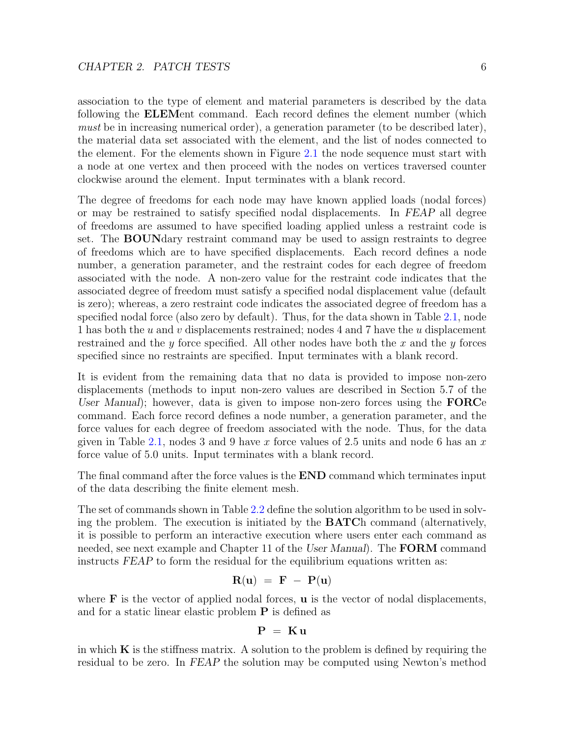association to the type of element and material parameters is described by the data following the ELEMent command. Each record defines the element number (which must be in increasing numerical order), a generation parameter (to be described later), the material data set associated with the element, and the list of nodes connected to the element. For the elements shown in Figure [2.1](#page-4-0) the node sequence must start with a node at one vertex and then proceed with the nodes on vertices traversed counter clockwise around the element. Input terminates with a blank record.

The degree of freedoms for each node may have known applied loads (nodal forces) or may be restrained to satisfy specified nodal displacements. In FEAP all degree of freedoms are assumed to have specified loading applied unless a restraint code is set. The BOUNdary restraint command may be used to assign restraints to degree of freedoms which are to have specified displacements. Each record defines a node number, a generation parameter, and the restraint codes for each degree of freedom associated with the node. A non-zero value for the restraint code indicates that the associated degree of freedom must satisfy a specified nodal displacement value (default is zero); whereas, a zero restraint code indicates the associated degree of freedom has a specified nodal force (also zero by default). Thus, for the data shown in Table [2.1,](#page-5-0) node 1 has both the u and v displacements restrained; nodes 4 and 7 have the u displacement restrained and the y force specified. All other nodes have both the x and the y forces specified since no restraints are specified. Input terminates with a blank record.

It is evident from the remaining data that no data is provided to impose non-zero displacements (methods to input non-zero values are described in Section 5.7 of the User Manual); however, data is given to impose non-zero forces using the  $\rm FORCe$ command. Each force record defines a node number, a generation parameter, and the force values for each degree of freedom associated with the node. Thus, for the data given in Table [2.1,](#page-5-0) nodes 3 and 9 have x force values of 2.5 units and node 6 has an x force value of 5.0 units. Input terminates with a blank record.

The final command after the force values is the **END** command which terminates input of the data describing the finite element mesh.

The set of commands shown in Table [2.2](#page-5-1) define the solution algorithm to be used in solving the problem. The execution is initiated by the BATCh command (alternatively, it is possible to perform an interactive execution where users enter each command as needed, see next example and Chapter 11 of the User Manual). The **FORM** command instructs FEAP to form the residual for the equilibrium equations written as:

$$
\mathbf{R}(\mathbf{u}) = \mathbf{F} - \mathbf{P}(\mathbf{u})
$$

where  $\bf{F}$  is the vector of applied nodal forces,  $\bf{u}$  is the vector of nodal displacements, and for a static linear elastic problem  $P$  is defined as

$$
\mathbf{P} = \mathbf{K} \mathbf{u}
$$

in which  $K$  is the stiffness matrix. A solution to the problem is defined by requiring the residual to be zero. In FEAP the solution may be computed using Newton's method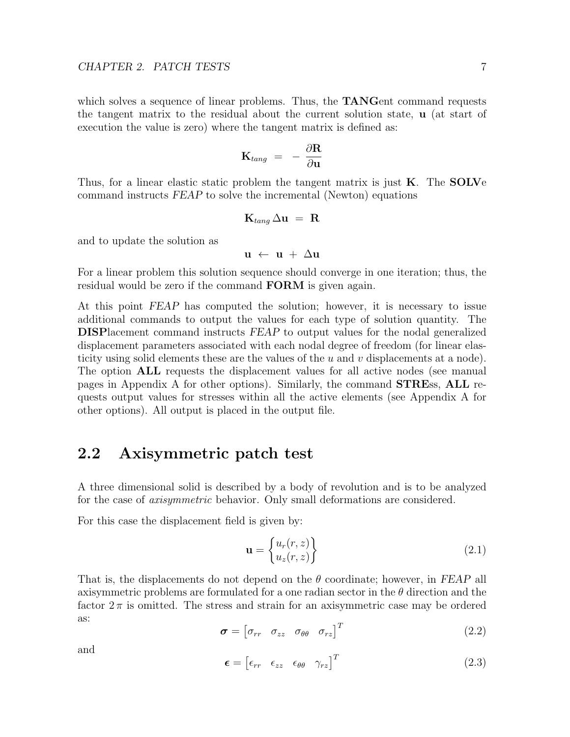which solves a sequence of linear problems. Thus, the **TANG**ent command requests the tangent matrix to the residual about the current solution state, u (at start of execution the value is zero) where the tangent matrix is defined as:

$$
\mathbf{K}_{tang}~=~- \frac{\partial \mathbf{R}}{\partial \mathbf{u}}
$$

Thus, for a linear elastic static problem the tangent matrix is just  $\bf{K}$ . The **SOLV**e command instructs FEAP to solve the incremental (Newton) equations

$$
\mathbf{K}_{tang} \, \Delta \mathbf{u} \ = \ \mathbf{R}
$$

and to update the solution as

$$
\mathbf{u}~\leftarrow~\mathbf{u}~+~\Delta\mathbf{u}
$$

For a linear problem this solution sequence should converge in one iteration; thus, the residual would be zero if the command **FORM** is given again.

At this point FEAP has computed the solution; however, it is necessary to issue additional commands to output the values for each type of solution quantity. The DISPlacement command instructs FEAP to output values for the nodal generalized displacement parameters associated with each nodal degree of freedom (for linear elasticity using solid elements these are the values of the  $u$  and  $v$  displacements at a node). The option ALL requests the displacement values for all active nodes (see manual pages in Appendix A for other options). Similarly, the command STREss, ALL requests output values for stresses within all the active elements (see Appendix A for other options). All output is placed in the output file.

### <span id="page-8-0"></span>2.2 Axisymmetric patch test

A three dimensional solid is described by a body of revolution and is to be analyzed for the case of *axisymmetric* behavior. Only small deformations are considered.

For this case the displacement field is given by:

<span id="page-8-1"></span>
$$
\mathbf{u} = \begin{Bmatrix} u_r(r,z) \\ u_z(r,z) \end{Bmatrix}
$$
 (2.1)

That is, the displacements do not depend on the  $\theta$  coordinate; however, in FEAP all axisymmetric problems are formulated for a one radian sector in the  $\theta$  direction and the factor  $2\pi$  is omitted. The stress and strain for an axisymmetric case may be ordered as:

$$
\boldsymbol{\sigma} = \begin{bmatrix} \sigma_{rr} & \sigma_{zz} & \sigma_{\theta\theta} & \sigma_{rz} \end{bmatrix}^T \tag{2.2}
$$

and

$$
\boldsymbol{\epsilon} = \begin{bmatrix} \epsilon_{rr} & \epsilon_{zz} & \epsilon_{\theta\theta} & \gamma_{rz} \end{bmatrix}^T \tag{2.3}
$$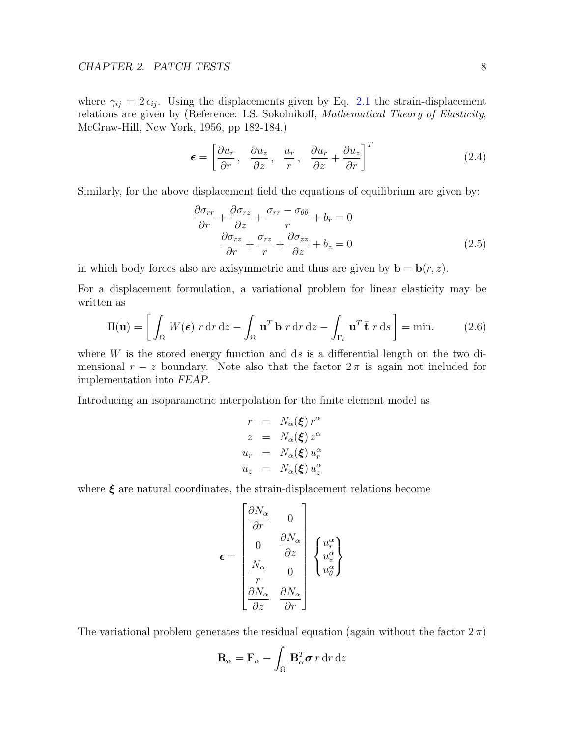where  $\gamma_{ij} = 2 \epsilon_{ij}$ . Using the displacements given by Eq. [2.1](#page-8-1) the strain-displacement relations are given by (Reference: I.S. Sokolnikoff, Mathematical Theory of Elasticity, McGraw-Hill, New York, 1956, pp 182-184.)

$$
\boldsymbol{\epsilon} = \left[ \frac{\partial u_r}{\partial r}, \frac{\partial u_z}{\partial z}, \frac{u_r}{r}, \frac{\partial u_r}{\partial z} + \frac{\partial u_z}{\partial r} \right]^T
$$
 (2.4)

Similarly, for the above displacement field the equations of equilibrium are given by:

$$
\frac{\partial \sigma_{rr}}{\partial r} + \frac{\partial \sigma_{rz}}{\partial z} + \frac{\sigma_{rr} - \sigma_{\theta\theta}}{r} + b_r = 0
$$
  

$$
\frac{\partial \sigma_{rz}}{\partial r} + \frac{\sigma_{rz}}{r} + \frac{\partial \sigma_{zz}}{\partial z} + b_z = 0
$$
 (2.5)

in which body forces also are axisymmetric and thus are given by  $\mathbf{b} = \mathbf{b}(r, z)$ .

For a displacement formulation, a variational problem for linear elasticity may be written as

$$
\Pi(\mathbf{u}) = \left[ \int_{\Omega} W(\boldsymbol{\epsilon}) \ r \, dr \, dz - \int_{\Omega} \mathbf{u}^T \mathbf{b} \ r \, dr \, dz - \int_{\Gamma_t} \mathbf{u}^T \bar{\mathbf{t}} \ r \, ds \right] = \min. \tag{2.6}
$$

where  $W$  is the stored energy function and ds is a differential length on the two dimensional  $r - z$  boundary. Note also that the factor  $2\pi$  is again not included for implementation into FEAP.

Introducing an isoparametric interpolation for the finite element model as

$$
r = N_{\alpha}(\xi) r^{\alpha}
$$
  
\n
$$
z = N_{\alpha}(\xi) z^{\alpha}
$$
  
\n
$$
u_r = N_{\alpha}(\xi) u_r^{\alpha}
$$
  
\n
$$
u_z = N_{\alpha}(\xi) u_z^{\alpha}
$$

where  $\xi$  are natural coordinates, the strain-displacement relations become

$$
\pmb{\epsilon} = \begin{bmatrix} \frac{\partial N_{\alpha}}{\partial r} & 0 \\ 0 & \frac{\partial N_{\alpha}}{\partial z} \\ \frac{N_{\alpha}}{r} & 0 \\ \frac{\partial N_{\alpha}}{\partial z} & \frac{\partial N_{\alpha}}{\partial r} \end{bmatrix} \begin{Bmatrix} u^{\alpha}_{r} \\ u^{\alpha}_{z} \\ u^{\alpha}_{\theta} \end{Bmatrix}
$$

The variational problem generates the residual equation (again without the factor  $2\pi$ )

$$
\mathbf{R}_{\alpha} = \mathbf{F}_{\alpha} - \int_{\Omega} \mathbf{B}_{\alpha}^{T} \boldsymbol{\sigma} \, r \, dr \, dz
$$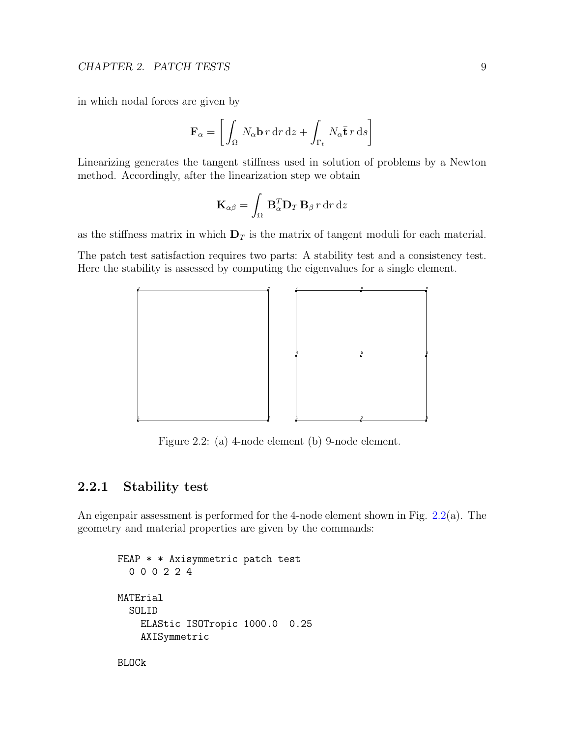in which nodal forces are given by

$$
\mathbf{F}_{\alpha} = \left[ \int_{\Omega} N_{\alpha} \mathbf{b} \, r \, dr \, dz + \int_{\Gamma_t} N_{\alpha} \bar{\mathbf{t}} \, r \, ds \right]
$$

Linearizing generates the tangent stiffness used in solution of problems by a Newton method. Accordingly, after the linearization step we obtain

$$
\mathbf{K}_{\alpha\beta} = \int_{\Omega} \mathbf{B}_{\alpha}^{T} \mathbf{D}_{T} \mathbf{B}_{\beta} r \, dr \, dz
$$

as the stiffness matrix in which  $D<sub>T</sub>$  is the matrix of tangent moduli for each material.

The patch test satisfaction requires two parts: A stability test and a consistency test. Here the stability is assessed by computing the eigenvalues for a single element.



<span id="page-10-1"></span>Figure 2.2: (a) 4-node element (b) 9-node element.

#### <span id="page-10-0"></span>2.2.1 Stability test

An eigenpair assessment is performed for the 4-node element shown in Fig. [2.2\(](#page-10-1)a). The geometry and material properties are given by the commands:

```
FEAP * * Axisymmetric patch test
  0 0 0 2 2 4
MATErial
  SOLID
    ELAStic ISOTropic 1000.0 0.25
    AXISymmetric
```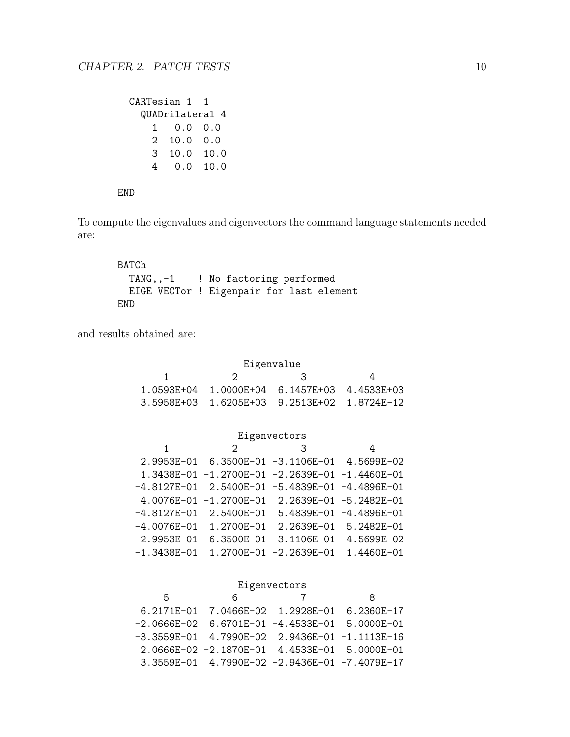| CARTesian 1     |                  |      |  |  |
|-----------------|------------------|------|--|--|
| QUADrilateral 4 |                  |      |  |  |
| $1 \quad$       | $0.0 \quad 0.0$  |      |  |  |
| 2               | $10.0 \quad 0.0$ |      |  |  |
| 3               | 10.0             | 10.0 |  |  |
| 4               | 0.0              | 10.0 |  |  |

#### END

To compute the eigenvalues and eigenvectors the command language statements needed are:

```
BATCh
 TANG,,-1 ! No factoring performed
 EIGE VECTor ! Eigenpair for last element
END
```
and results obtained are:

| Eigenvalue   |  |                                                 |  |  |
|--------------|--|-------------------------------------------------|--|--|
| - 3<br>' ) — |  |                                                 |  |  |
|              |  | $1.0593E+04$ $1.0000E+04$ 6.1457E+03 4.4533E+03 |  |  |
|              |  | 3.5958E+03  1.6205E+03  9.2513E+02  1.8724E-12  |  |  |

#### Eigenvectors

| 1               | 2                                                  | З                      | 4                      |
|-----------------|----------------------------------------------------|------------------------|------------------------|
|                 | 2.9953E-01   6.3500E-01   -3.1106E-01   4.5699E-02 |                        |                        |
|                 | 1.3438E-01 -1.2700E-01 -2.2639E-01 -1.4460E-01     |                        |                        |
|                 | $-4.8127E-01$ 2.5400E-01 -5.4839E-01 -4.4896E-01   |                        |                        |
|                 | 4.0076E-01 -1.2700E-01 2.2639E-01 -5.2482E-01      |                        |                        |
|                 | $-4.8127E-01$ 2.5400E-01                           |                        | 5.4839E-01 -4.4896E-01 |
| $-4.0076E - 01$ | 1.2700E-01                                         |                        | 2.2639E-01 5.2482E-01  |
| 2.9953E-01      | 6.3500E-01                                         | 3.1106E-01             | 4.5699E-02             |
| $-1.3438E - 01$ |                                                    | 1.2700E-01 -2.2639E-01 | 1.4460E-01             |
|                 |                                                    |                        |                        |

#### Eigenvectors

| Б | 6                                                      | 8 |
|---|--------------------------------------------------------|---|
|   | 6.2171E-01 7.0466E-02 1.2928E-01 6.2360E-17            |   |
|   | $-2.0666E-02$ 6.6701E-01 $-4.4533E-01$ 5.0000E-01      |   |
|   | -3.3559E-01    4.7990E-02    2.9436E-01    -1.1113E-16 |   |
|   | 2.0666E-02 -2.1870E-01 4.4533E-01 5.0000E-01           |   |
|   | 3.3559E-01 4.7990E-02 -2.9436E-01 -7.4079E-17          |   |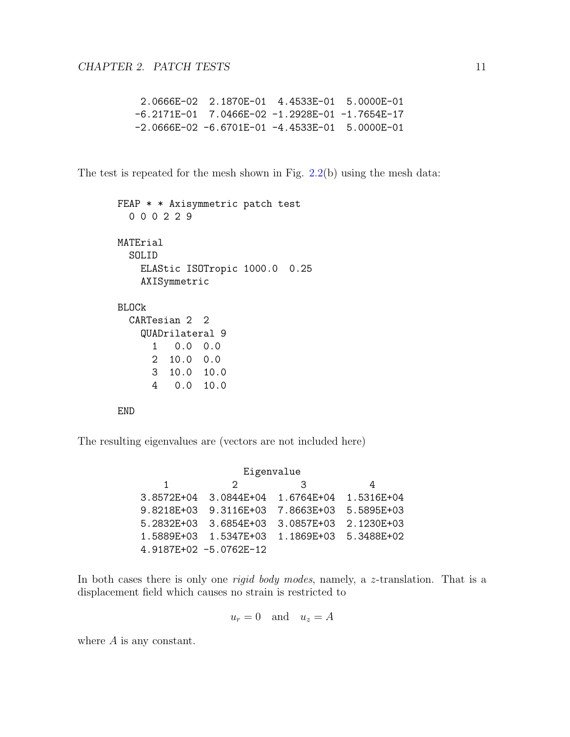2.0666E-02 2.1870E-01 4.4533E-01 5.0000E-01 -6.2171E-01 7.0466E-02 -1.2928E-01 -1.7654E-17 -2.0666E-02 -6.6701E-01 -4.4533E-01 5.0000E-01

The test is repeated for the mesh shown in Fig. [2.2\(](#page-10-1)b) using the mesh data:

```
FEAP * * Axisymmetric patch test
  0 0 0 2 2 9
MATErial
  SOLID
    ELAStic ISOTropic 1000.0 0.25
    AXISymmetric
BLOCk
  CARTesian 2 2
    QUADrilateral 9
      1 0.0 0.0
      2 10.0 0.0
      3 10.0 10.0
      4 0.0 10.0
```
END

The resulting eigenvalues are (vectors are not included here)

Eigenvalue 1 2 3 4 3.8572E+04 3.0844E+04 1.6764E+04 1.5316E+04 9.8218E+03 9.3116E+03 7.8663E+03 5.5895E+03 5.2832E+03 3.6854E+03 3.0857E+03 2.1230E+03 1.5889E+03 1.5347E+03 1.1869E+03 5.3488E+02 4.9187E+02 -5.0762E-12

In both cases there is only one *rigid body modes*, namely, a z-translation. That is a displacement field which causes no strain is restricted to

$$
u_r = 0 \quad \text{and} \quad u_z = A
$$

where A is any constant.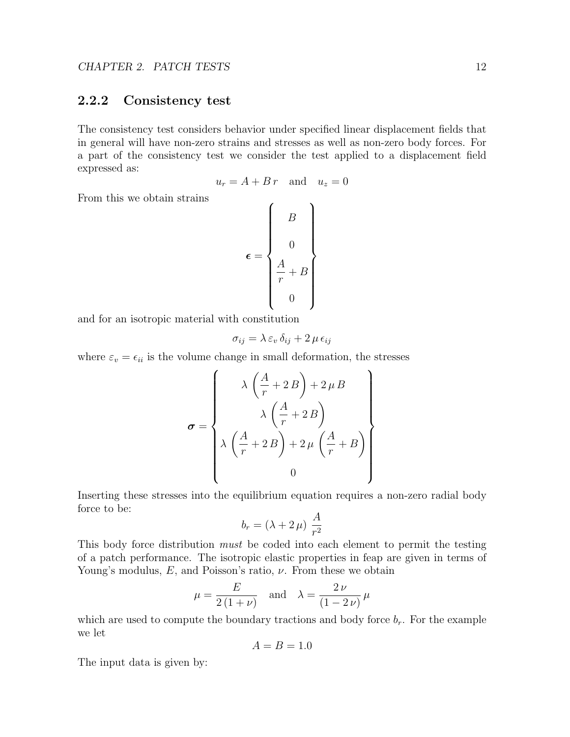#### <span id="page-13-0"></span>2.2.2 Consistency test

The consistency test considers behavior under specified linear displacement fields that in general will have non-zero strains and stresses as well as non-zero body forces. For a part of the consistency test we consider the test applied to a displacement field expressed as:

$$
u_r = A + B r \quad \text{and} \quad u_z = 0
$$

From this we obtain strains

$$
\epsilon = \begin{Bmatrix} B \\ 0 \\ 0 \\ \frac{A}{r} + B \\ 0 \end{Bmatrix}
$$

and for an isotropic material with constitution

$$
\sigma_{ij} = \lambda \, \varepsilon_v \, \delta_{ij} + 2 \, \mu \, \epsilon_{ij}
$$

where  $\varepsilon_v = \epsilon_{ii}$  is the volume change in small deformation, the stresses

$$
\sigma = \left\{\n\begin{array}{c}\n\lambda \left( \frac{A}{r} + 2B \right) + 2\mu B \\
\lambda \left( \frac{A}{r} + 2B \right) \\
\lambda \left( \frac{A}{r} + 2B \right) + 2\mu \left( \frac{A}{r} + B \right) \\
0\n\end{array}\n\right\}
$$

Inserting these stresses into the equilibrium equation requires a non-zero radial body force to be:

$$
b_r = (\lambda + 2\,\mu) \frac{A}{r^2}
$$

This body force distribution *must* be coded into each element to permit the testing of a patch performance. The isotropic elastic properties in feap are given in terms of Young's modulus,  $E$ , and Poisson's ratio,  $\nu$ . From these we obtain

$$
\mu = \frac{E}{2(1+\nu)} \quad \text{and} \quad \lambda = \frac{2\nu}{(1-2\nu)} \,\mu
$$

which are used to compute the boundary tractions and body force  $b_r$ . For the example we let

$$
A = B = 1.0
$$

The input data is given by: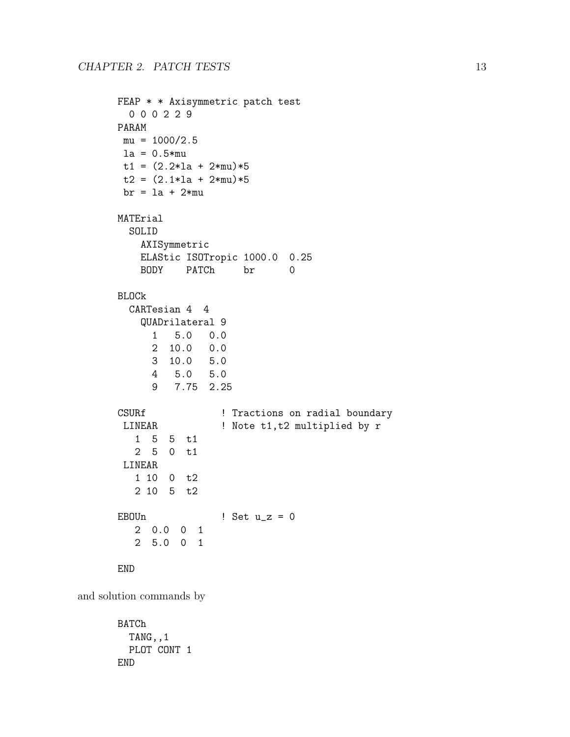```
FEAP * * Axisymmetric patch test
 0 0 0 2 2 9
PARAM
mu = 1000/2.5la = 0.5*mut1 = (2.2 * 1a + 2 * mu) * 5t2 = (2.1*1a + 2*mu)*5br = la + 2*mu
MATErial
 SOLID
   AXISymmetric
   ELAStic ISOTropic 1000.0 0.25
   BODY PATCh br 0
BLOCk
 CARTesian 4 4
   QUADrilateral 9
     1 5.0 0.0
     2 10.0 0.0
     3 10.0 5.0
     4 5.0 5.0
     9 7.75 2.25
CSURf ! Tractions on radial boundary
LINEAR ! Note t1, t2 multiplied by r
  1 5 5 t1
  2 5 0 t1
LINEAR
  1 10 0 t2
  2 10 5 t2
EBOUn ! Set u_z = 02 0.0 0 1
  2 5.0 0 1
END
```
and solution commands by

BATCh TANG,,1 PLOT CONT 1 END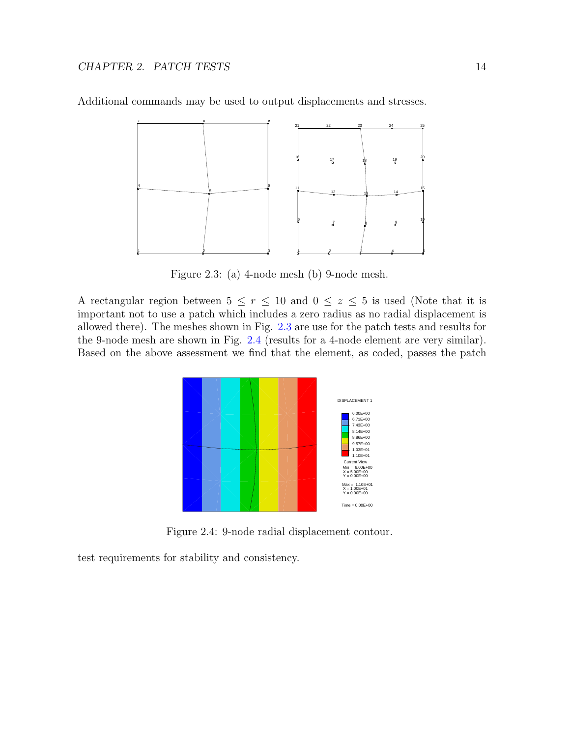

Additional commands may be used to output displacements and stresses.

<span id="page-15-0"></span>Figure 2.3: (a) 4-node mesh (b) 9-node mesh.

A rectangular region between  $5 \le r \le 10$  and  $0 \le z \le 5$  is used (Note that it is important not to use a patch which includes a zero radius as no radial displacement is allowed there). The meshes shown in Fig. [2.3](#page-15-0) are use for the patch tests and results for the 9-node mesh are shown in Fig. [2.4](#page-15-1) (results for a 4-node element are very similar). Based on the above assessment we find that the element, as coded, passes the patch



<span id="page-15-1"></span>Figure 2.4: 9-node radial displacement contour.

test requirements for stability and consistency.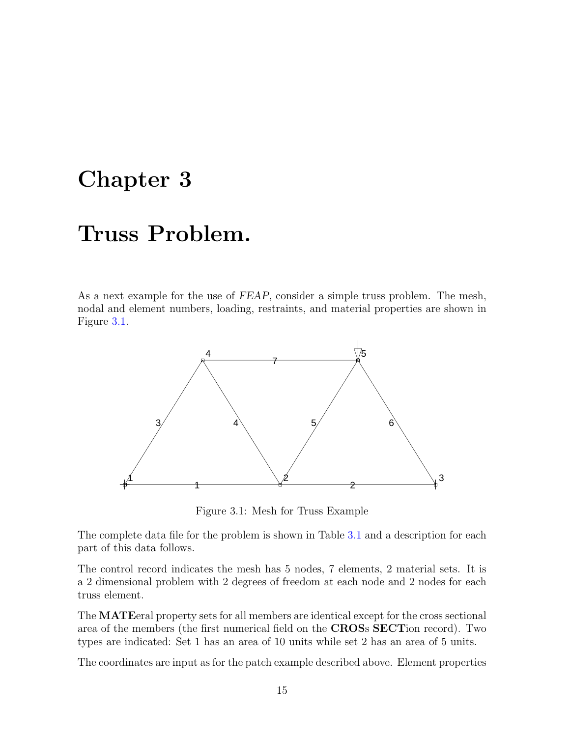### <span id="page-16-0"></span>Chapter 3

# Truss Problem.

As a next example for the use of FEAP, consider a simple truss problem. The mesh, nodal and element numbers, loading, restraints, and material properties are shown in Figure [3.1.](#page-16-1)



<span id="page-16-1"></span>Figure 3.1: Mesh for Truss Example

The complete data file for the problem is shown in Table [3.1](#page-17-0) and a description for each part of this data follows.

The control record indicates the mesh has 5 nodes, 7 elements, 2 material sets. It is a 2 dimensional problem with 2 degrees of freedom at each node and 2 nodes for each truss element.

The MATEeral property sets for all members are identical except for the cross sectional area of the members (the first numerical field on the CROSs SECTion record). Two types are indicated: Set 1 has an area of 10 units while set 2 has an area of 5 units.

The coordinates are input as for the patch example described above. Element properties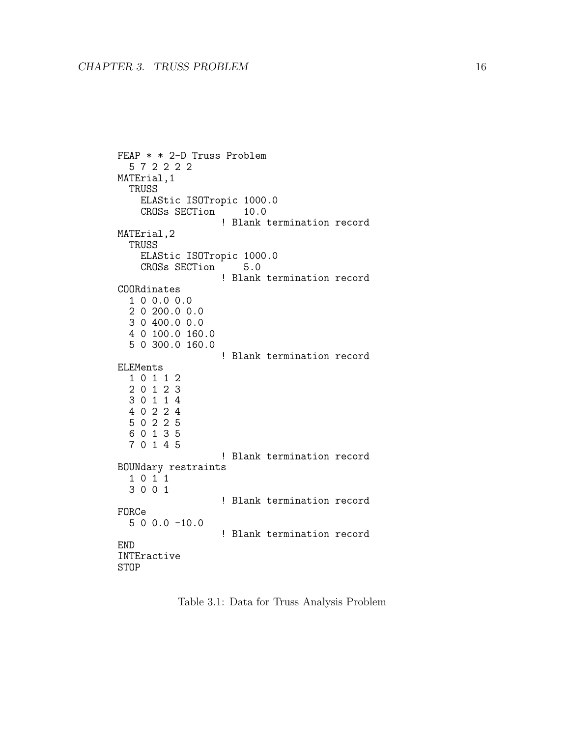```
FEAP * * 2-D Truss Problem
  5 7 2 2 2 2
MATErial,1
  TRUSS
    ELAStic ISOTropic 1000.0<br>CROSs SECTion 10.0
    CROSs SECTion
                    ! Blank termination record
MATErial,2
  TRUSS
    ELAStic ISOTropic 1000.0<br>CROSs SECTion 5.0
    CROSs SECTion
                   ! Blank termination record
COORdinates
  1 0 0.0 0.0
  2 0 200.0 0.0
  3 0 400.0 0.0
  4 0 100.0 160.0
  5 0 300.0 160.0
                    ! Blank termination record
ELEMents
  1 0 1 1 2
  2 0 1 2 3
  3 0 1 1 4
  4 0 2 2 4
  5 0 2 2 5
  6 0 1 3 5
  7 0 1 4 5
                    ! Blank termination record
BOUNdary restraints
  1 0 1 1
  3 0 0 1
                    ! Blank termination record
FORCe
  5 0 0.0 -10.0
                    ! Blank termination record
END
INTEractive
STOP
```
<span id="page-17-0"></span>Table 3.1: Data for Truss Analysis Problem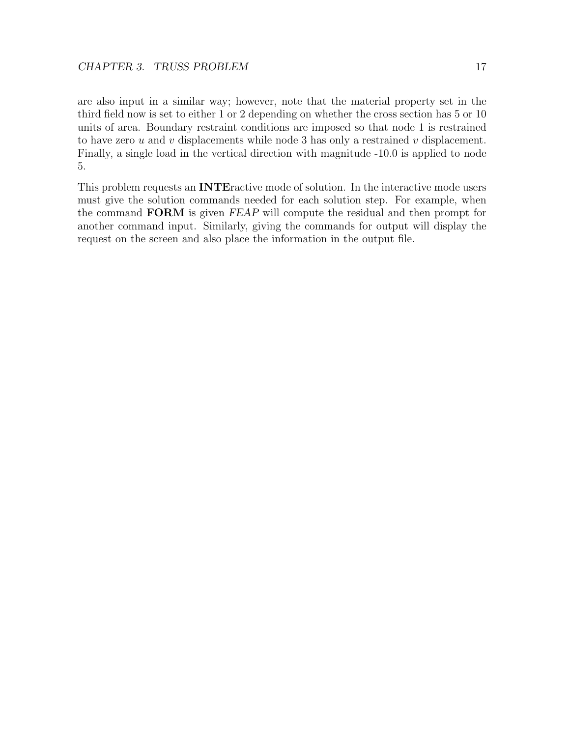are also input in a similar way; however, note that the material property set in the third field now is set to either 1 or 2 depending on whether the cross section has 5 or 10 units of area. Boundary restraint conditions are imposed so that node 1 is restrained to have zero u and v displacements while node 3 has only a restrained v displacement. Finally, a single load in the vertical direction with magnitude -10.0 is applied to node 5.

This problem requests an INTEractive mode of solution. In the interactive mode users must give the solution commands needed for each solution step. For example, when the command FORM is given FEAP will compute the residual and then prompt for another command input. Similarly, giving the commands for output will display the request on the screen and also place the information in the output file.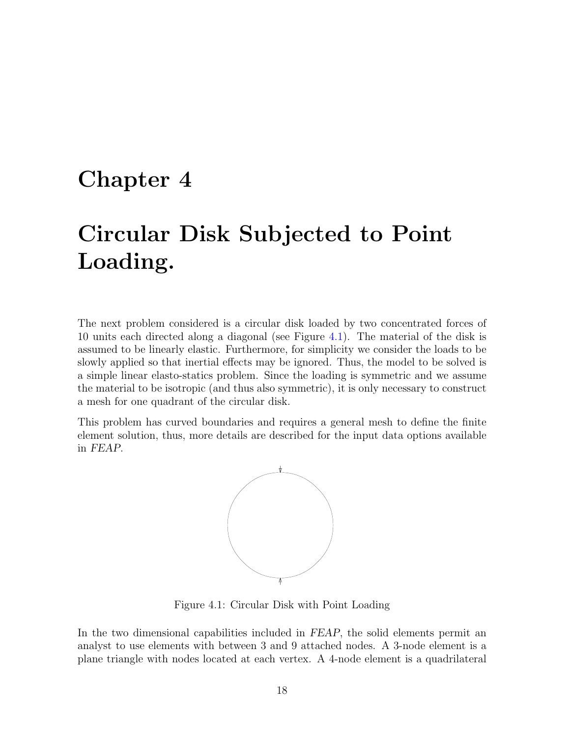### <span id="page-19-0"></span>Chapter 4

# Circular Disk Subjected to Point Loading.

The next problem considered is a circular disk loaded by two concentrated forces of 10 units each directed along a diagonal (see Figure [4.1\)](#page-19-1). The material of the disk is assumed to be linearly elastic. Furthermore, for simplicity we consider the loads to be slowly applied so that inertial effects may be ignored. Thus, the model to be solved is a simple linear elasto-statics problem. Since the loading is symmetric and we assume the material to be isotropic (and thus also symmetric), it is only necessary to construct a mesh for one quadrant of the circular disk.

This problem has curved boundaries and requires a general mesh to define the finite element solution, thus, more details are described for the input data options available in FEAP.



<span id="page-19-1"></span>Figure 4.1: Circular Disk with Point Loading

In the two dimensional capabilities included in FEAP, the solid elements permit an analyst to use elements with between 3 and 9 attached nodes. A 3-node element is a plane triangle with nodes located at each vertex. A 4-node element is a quadrilateral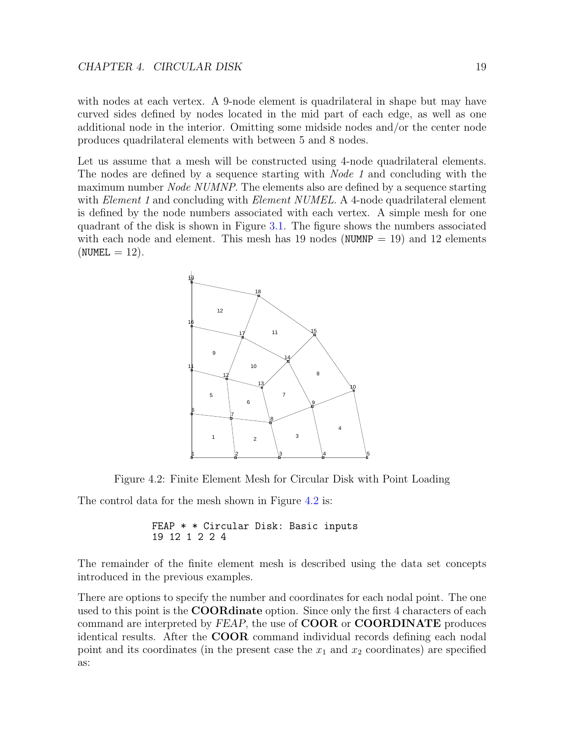with nodes at each vertex. A 9-node element is quadrilateral in shape but may have curved sides defined by nodes located in the mid part of each edge, as well as one additional node in the interior. Omitting some midside nodes and/or the center node produces quadrilateral elements with between 5 and 8 nodes.

Let us assume that a mesh will be constructed using 4-node quadrilateral elements. The nodes are defined by a sequence starting with *Node 1* and concluding with the maximum number *Node NUMNP*. The elements also are defined by a sequence starting with *Element 1* and concluding with *Element NUMEL*. A 4-node quadrilateral element is defined by the node numbers associated with each vertex. A simple mesh for one quadrant of the disk is shown in Figure [3.1.](#page-16-1) The figure shows the numbers associated with each node and element. This mesh has 19 nodes (NUMNP  $= 19$ ) and 12 elements  $(NUMEL = 12)$ .



Figure 4.2: Finite Element Mesh for Circular Disk with Point Loading

The control data for the mesh shown in Figure [4.2](#page-20-0) is:

<span id="page-20-0"></span>FEAP \* \* Circular Disk: Basic inputs 19 12 1 2 2 4

The remainder of the finite element mesh is described using the data set concepts introduced in the previous examples.

There are options to specify the number and coordinates for each nodal point. The one used to this point is the **COORdinate** option. Since only the first 4 characters of each command are interpreted by FEAP, the use of COOR or COORDINATE produces identical results. After the COOR command individual records defining each nodal point and its coordinates (in the present case the  $x_1$  and  $x_2$  coordinates) are specified as: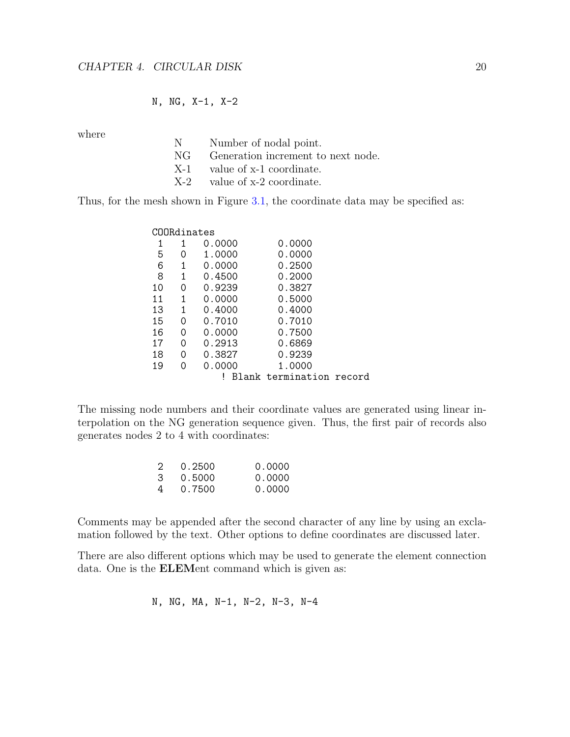#### N, NG, X-1, X-2

where

| N | Number of nodal point.                |
|---|---------------------------------------|
|   | NG Generation increment to next node. |
|   | $X-1$ value of $x-1$ coordinate.      |
|   | $X-2$ value of $x-2$ coordinate.      |

Thus, for the mesh shown in Figure [3.1,](#page-16-1) the coordinate data may be specified as:

| COORdinates |   |        |                          |  |
|-------------|---|--------|--------------------------|--|
|             | 1 | 0.0000 | 0.0000                   |  |
| 5           | O | 1.0000 | 0.0000                   |  |
| 6           | 1 | 0.0000 | 0.2500                   |  |
| 8           | 1 | 0.4500 | 0.2000                   |  |
| 10          | 0 | 0.9239 | 0.3827                   |  |
| 11          | 1 | 0.0000 | 0.5000                   |  |
| 13          | 1 | 0.4000 | 0.4000                   |  |
| 15          | 0 | 0.7010 | 0.7010                   |  |
| 16          | Ω | 0.0000 | 0.7500                   |  |
| 17          | Ω | 0.2913 | 0.6869                   |  |
| 18          | 0 | 0.3827 | 0.9239                   |  |
| 19          | Ω | 0.0000 | 1.0000                   |  |
|             |   |        | Blank termination record |  |
|             |   |        |                          |  |

The missing node numbers and their coordinate values are generated using linear interpolation on the NG generation sequence given. Thus, the first pair of records also generates nodes 2 to 4 with coordinates:

| 2 | 0.2500 | 0.0000 |
|---|--------|--------|
| 3 | 0.5000 | 0.0000 |
| 4 | 0.7500 | 0.0000 |

Comments may be appended after the second character of any line by using an exclamation followed by the text. Other options to define coordinates are discussed later.

There are also different options which may be used to generate the element connection data. One is the ELEMent command which is given as:

$$
N, NG, MA, N-1, N-2, N-3, N-4
$$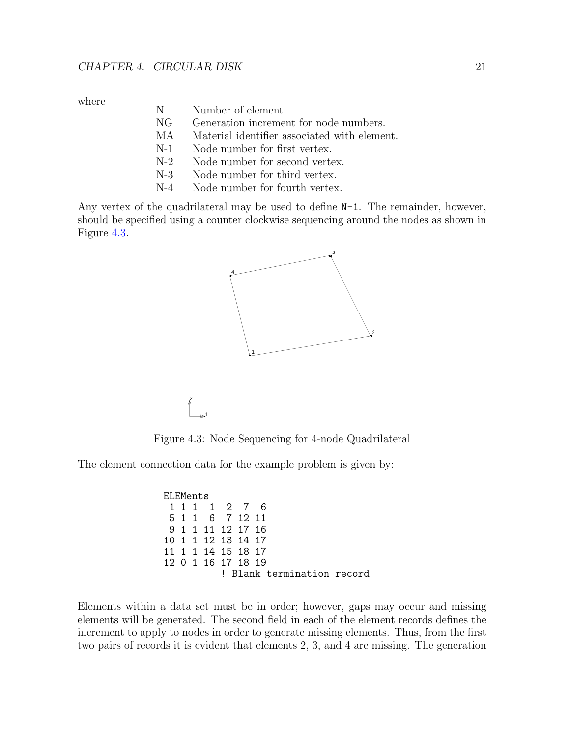where

- N Number of element.
- NG Generation increment for node numbers.
- MA Material identifier associated with element.
- N-1 Node number for first vertex.
- N-2 Node number for second vertex.
- N-3 Node number for third vertex.
- N-4 Node number for fourth vertex.

Any vertex of the quadrilateral may be used to define N-1. The remainder, however, should be specified using a counter clockwise sequencing around the nodes as shown in Figure [4.3.](#page-22-0)



Figure 4.3: Node Sequencing for 4-node Quadrilateral

The element connection data for the example problem is given by:

<span id="page-22-0"></span>2

ELEMents 1 1 1 1 2 7 6 6 7 12 11 9 1 1 11 12 17 16 10 1 1 12 13 14 17 11 1 1 14 15 18 17 12 0 1 16 17 18 19 ! Blank termination record

Elements within a data set must be in order; however, gaps may occur and missing elements will be generated. The second field in each of the element records defines the increment to apply to nodes in order to generate missing elements. Thus, from the first two pairs of records it is evident that elements 2, 3, and 4 are missing. The generation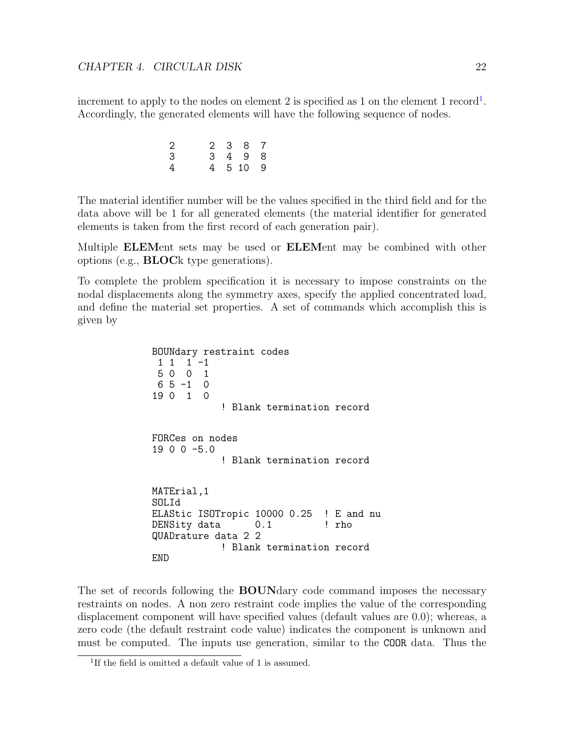increment to apply to the nodes on element 2 is specified as [1](#page-23-0) on the element 1 record<sup>1</sup>. Accordingly, the generated elements will have the following sequence of nodes.

| 2 |  | 2 3 8 7  |  |
|---|--|----------|--|
| 3 |  | 3 4 9 8  |  |
| 4 |  | 4 5 10 9 |  |

The material identifier number will be the values specified in the third field and for the data above will be 1 for all generated elements (the material identifier for generated elements is taken from the first record of each generation pair).

Multiple **ELEM**ent sets may be used or **ELEM**ent may be combined with other options (e.g., BLOCk type generations).

To complete the problem specification it is necessary to impose constraints on the nodal displacements along the symmetry axes, specify the applied concentrated load, and define the material set properties. A set of commands which accomplish this is given by

> BOUNdary restraint codes  $1 \quad 1 \quad -1$ 5 0 0 1  $6 5 -1 0$ 19 0 1 0 ! Blank termination record FORCes on nodes 19 0 0 -5.0 ! Blank termination record MATErial,1 SOLId ELAStic ISOTropic 10000 0.25 ! E and nu DENSity data 0.1 ! rho QUADrature data 2 2 ! Blank termination record END

The set of records following the **BOUN**dary code command imposes the necessary restraints on nodes. A non zero restraint code implies the value of the corresponding displacement component will have specified values (default values are 0.0); whereas, a zero code (the default restraint code value) indicates the component is unknown and must be computed. The inputs use generation, similar to the COOR data. Thus the

<span id="page-23-0"></span><sup>&</sup>lt;sup>1</sup>If the field is omitted a default value of 1 is assumed.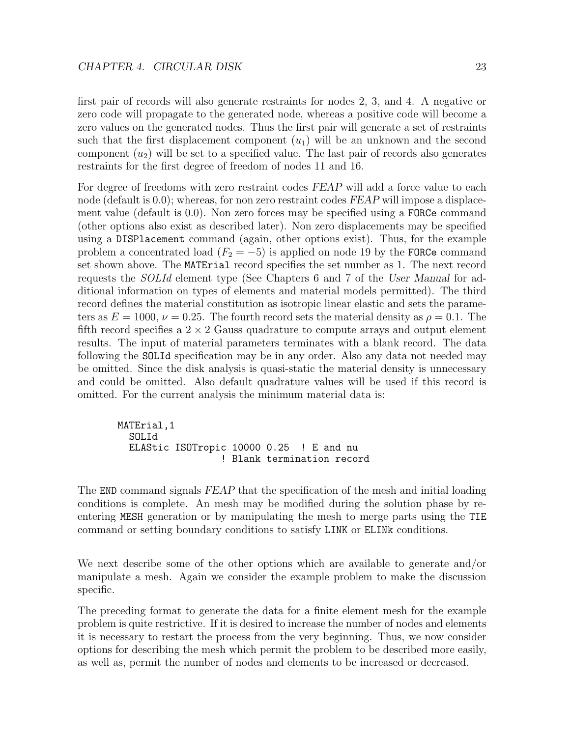first pair of records will also generate restraints for nodes 2, 3, and 4. A negative or zero code will propagate to the generated node, whereas a positive code will become a zero values on the generated nodes. Thus the first pair will generate a set of restraints such that the first displacement component  $(u_1)$  will be an unknown and the second component  $(u_2)$  will be set to a specified value. The last pair of records also generates restraints for the first degree of freedom of nodes 11 and 16.

For degree of freedoms with zero restraint codes FEAP will add a force value to each node (default is 0.0); whereas, for non zero restraint codes FEAP will impose a displacement value (default is 0.0). Non zero forces may be specified using a FORCe command (other options also exist as described later). Non zero displacements may be specified using a DISPlacement command (again, other options exist). Thus, for the example problem a concentrated load ( $F_2 = -5$ ) is applied on node 19 by the FORCe command set shown above. The MATErial record specifies the set number as 1. The next record requests the *SOLId* element type (See Chapters 6 and 7 of the User Manual for additional information on types of elements and material models permitted). The third record defines the material constitution as isotropic linear elastic and sets the parameters as  $E = 1000$ ,  $\nu = 0.25$ . The fourth record sets the material density as  $\rho = 0.1$ . The fifth record specifies a  $2 \times 2$  Gauss quadrature to compute arrays and output element results. The input of material parameters terminates with a blank record. The data following the SOLId specification may be in any order. Also any data not needed may be omitted. Since the disk analysis is quasi-static the material density is unnecessary and could be omitted. Also default quadrature values will be used if this record is omitted. For the current analysis the minimum material data is:

MATErial,1 SOLId ELAStic ISOTropic 10000 0.25 ! E and nu ! Blank termination record

The END command signals FEAP that the specification of the mesh and initial loading conditions is complete. An mesh may be modified during the solution phase by reentering MESH generation or by manipulating the mesh to merge parts using the TIE command or setting boundary conditions to satisfy LINK or ELINk conditions.

We next describe some of the other options which are available to generate and/or manipulate a mesh. Again we consider the example problem to make the discussion specific.

The preceding format to generate the data for a finite element mesh for the example problem is quite restrictive. If it is desired to increase the number of nodes and elements it is necessary to restart the process from the very beginning. Thus, we now consider options for describing the mesh which permit the problem to be described more easily, as well as, permit the number of nodes and elements to be increased or decreased.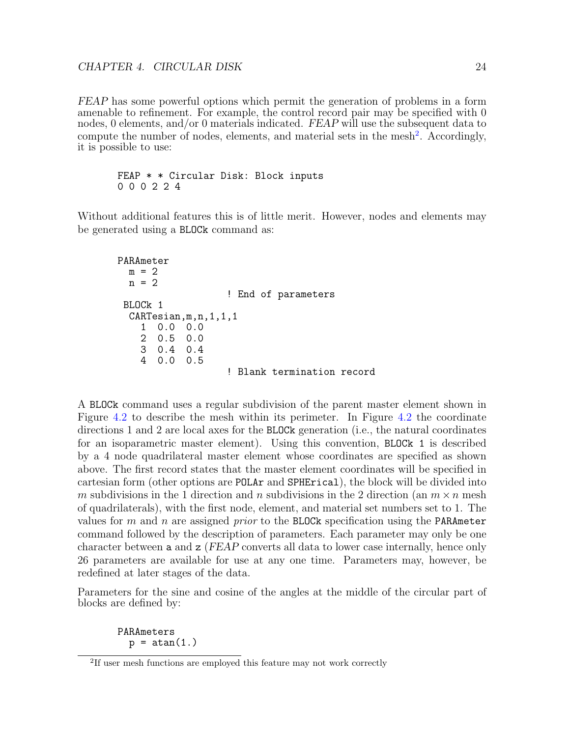FEAP has some powerful options which permit the generation of problems in a form amenable to refinement. For example, the control record pair may be specified with 0 nodes, 0 elements, and/or 0 materials indicated. FEAP will use the subsequent data to compute the number of nodes, elements, and material sets in the mesh<sup>[2](#page-25-0)</sup>. Accordingly, it is possible to use:

```
FEAP * * Circular Disk: Block inputs
0 0 0 2 2 4
```
Without additional features this is of little merit. However, nodes and elements may be generated using a BLOCk command as:

```
PARAmeter
 m = 2n = 2! End of parameters
BLOCk 1
 CARTesian,m,n,1,1,1
   1 0.0 0.0
   2 0.5 0.0
   3 0.4 0.4
   4 0.0 0.5
                  ! Blank termination record
```
A BLOCk command uses a regular subdivision of the parent master element shown in Figure [4.2](#page-20-0) to describe the mesh within its perimeter. In Figure [4.2](#page-20-0) the coordinate directions 1 and 2 are local axes for the BLOCk generation (i.e., the natural coordinates for an isoparametric master element). Using this convention, BLOCk 1 is described by a 4 node quadrilateral master element whose coordinates are specified as shown above. The first record states that the master element coordinates will be specified in cartesian form (other options are POLAr and SPHErical), the block will be divided into m subdivisions in the 1 direction and n subdivisions in the 2 direction (an  $m \times n$  mesh of quadrilaterals), with the first node, element, and material set numbers set to 1. The values for  $m$  and  $n$  are assigned *prior* to the BLOCk specification using the PARAmeter command followed by the description of parameters. Each parameter may only be one character between a and z (FEAP converts all data to lower case internally, hence only 26 parameters are available for use at any one time. Parameters may, however, be redefined at later stages of the data.

Parameters for the sine and cosine of the angles at the middle of the circular part of blocks are defined by:

PARAmeters  $p = \text{atan}(1.)$ 

<span id="page-25-0"></span><sup>&</sup>lt;sup>2</sup>If user mesh functions are employed this feature may not work correctly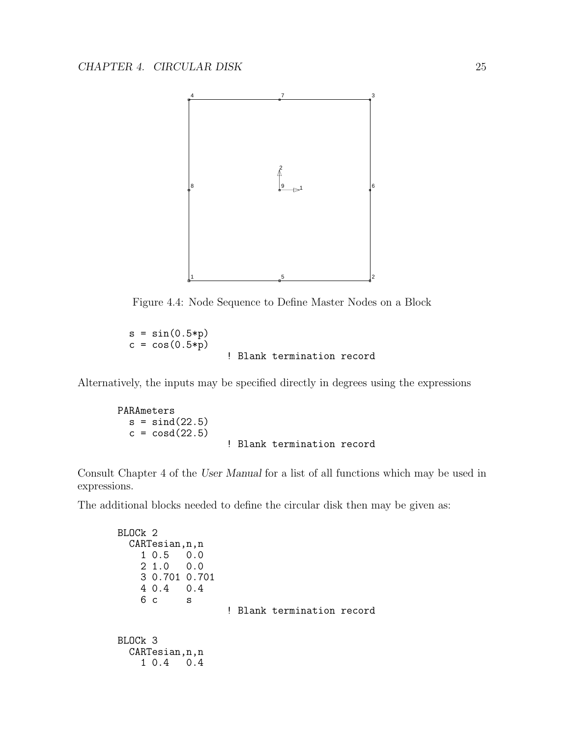

Figure 4.4: Node Sequence to Define Master Nodes on a Block

 $s = sin(0.5*p)$  $c = cos(0.5*p)$ ! Blank termination record

Alternatively, the inputs may be specified directly in degrees using the expressions

PARAmeters  $s = \text{sind}(22.5)$  $c = \cos(22.5)$ ! Blank termination record

Consult Chapter 4 of the User Manual for a list of all functions which may be used in expressions.

The additional blocks needed to define the circular disk then may be given as:

```
BLOCk 2
  CARTesian,n,n
   1 0.5 0.0
   21.03 0.701 0.701
   4 0.4 0.4
   6 c s
                  ! Blank termination record
BLOCk 3
  CARTesian,n,n
   1 0.4 0.4
```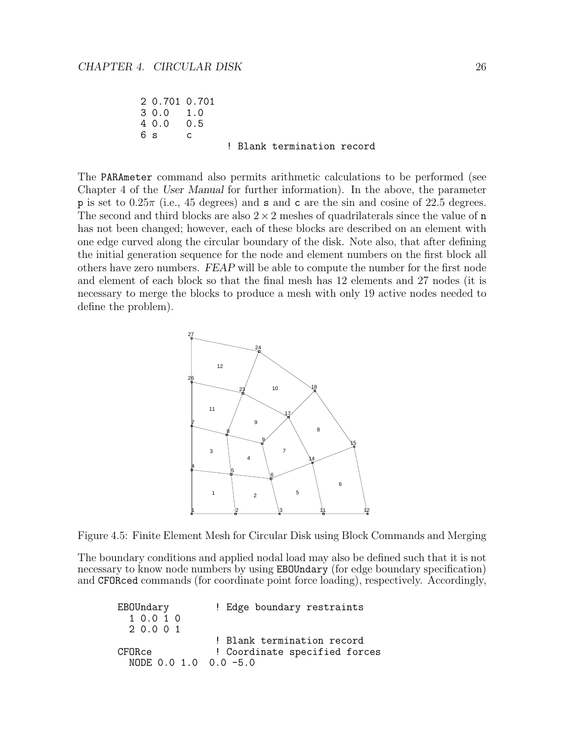```
2 0.701 0.701
3 0.0 1.0
40.06 s c! Blank termination record
```
The PARAmeter command also permits arithmetic calculations to be performed (see Chapter 4 of the User Manual for further information). In the above, the parameter p is set to  $0.25\pi$  (i.e., 45 degrees) and **s** and **c** are the sin and cosine of 22.5 degrees. The second and third blocks are also  $2 \times 2$  meshes of quadrilaterals since the value of n has not been changed; however, each of these blocks are described on an element with one edge curved along the circular boundary of the disk. Note also, that after defining the initial generation sequence for the node and element numbers on the first block all others have zero numbers. FEAP will be able to compute the number for the first node and element of each block so that the final mesh has 12 elements and 27 nodes (it is necessary to merge the blocks to produce a mesh with only 19 active nodes needed to define the problem).



<span id="page-27-0"></span>Figure 4.5: Finite Element Mesh for Circular Disk using Block Commands and Merging

The boundary conditions and applied nodal load may also be defined such that it is not necessary to know node numbers by using EBOUndary (for edge boundary specification) and CFORced commands (for coordinate point force loading), respectively. Accordingly,

| EBOUndary             | ! Edge boundary restraints    |
|-----------------------|-------------------------------|
| 10.010                |                               |
| 2 0.0 0 1             |                               |
|                       | ! Blank termination record    |
| CFORce                | ! Coordinate specified forces |
| NODE 0.0 1.0 0.0 -5.0 |                               |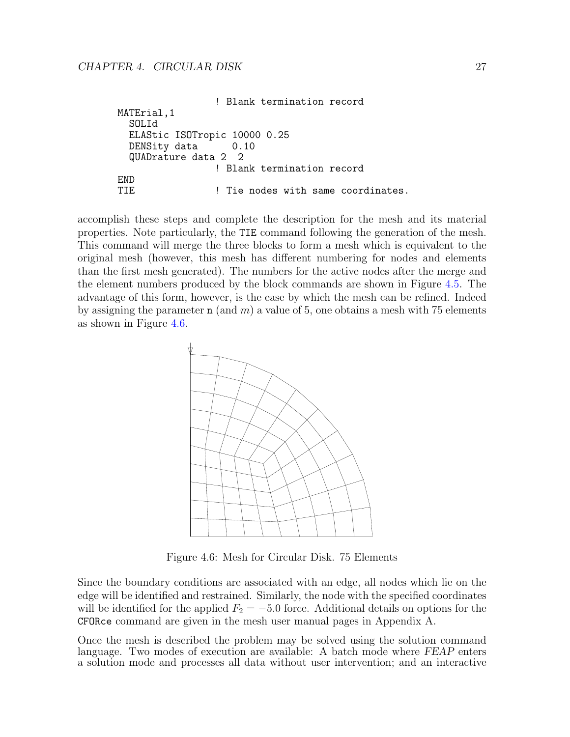! Blank termination record MATErial,1 SOLId ELAStic ISOTropic 10000 0.25 DENSity data 0.10 QUADrature data 2 2 ! Blank termination record END<br>TIE ! Tie nodes with same coordinates.

accomplish these steps and complete the description for the mesh and its material properties. Note particularly, the TIE command following the generation of the mesh. This command will merge the three blocks to form a mesh which is equivalent to the original mesh (however, this mesh has different numbering for nodes and elements than the first mesh generated). The numbers for the active nodes after the merge and the element numbers produced by the block commands are shown in Figure [4.5.](#page-27-0) The advantage of this form, however, is the ease by which the mesh can be refined. Indeed by assigning the parameter  $n$  (and m) a value of 5, one obtains a mesh with 75 elements as shown in Figure [4.6.](#page-28-0)



<span id="page-28-0"></span>Figure 4.6: Mesh for Circular Disk. 75 Elements

Since the boundary conditions are associated with an edge, all nodes which lie on the edge will be identified and restrained. Similarly, the node with the specified coordinates will be identified for the applied  $F_2 = -5.0$  force. Additional details on options for the CFORce command are given in the mesh user manual pages in Appendix A.

Once the mesh is described the problem may be solved using the solution command language. Two modes of execution are available: A batch mode where FEAP enters a solution mode and processes all data without user intervention; and an interactive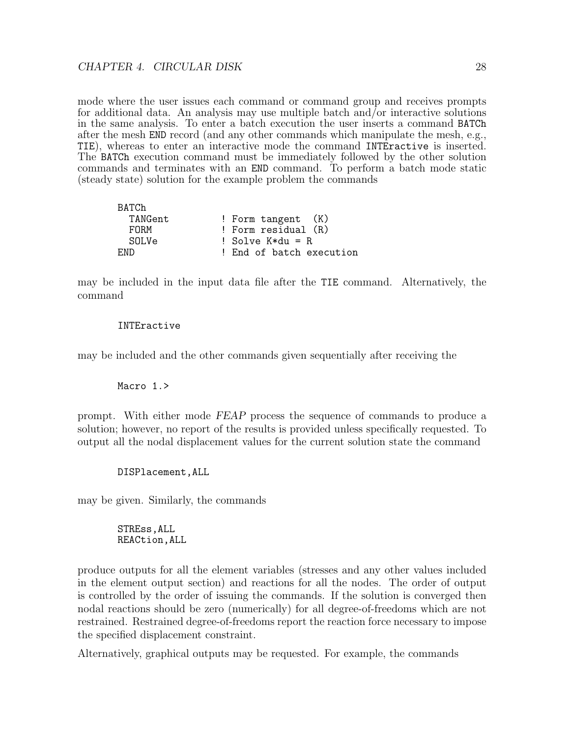mode where the user issues each command or command group and receives prompts for additional data. An analysis may use multiple batch and/or interactive solutions in the same analysis. To enter a batch execution the user inserts a command BATCh after the mesh END record (and any other commands which manipulate the mesh, e.g., TIE), whereas to enter an interactive mode the command INTEractive is inserted. The BATCh execution command must be immediately followed by the other solution commands and terminates with an END command. To perform a batch mode static (steady state) solution for the example problem the commands

| BATCh   |                          |
|---------|--------------------------|
| TANGent | ! Form tangent $(K)$     |
| FORM    | ! Form residual (R)      |
| SOLVe   | ! Solve $K*du = R$       |
| END.    | ! End of batch execution |

may be included in the input data file after the TIE command. Alternatively, the command

#### INTEractive

may be included and the other commands given sequentially after receiving the

#### Macro 1.>

prompt. With either mode FEAP process the sequence of commands to produce a solution; however, no report of the results is provided unless specifically requested. To output all the nodal displacement values for the current solution state the command

DISPlacement,ALL

may be given. Similarly, the commands

#### STREss,ALL REACtion,ALL

produce outputs for all the element variables (stresses and any other values included in the element output section) and reactions for all the nodes. The order of output is controlled by the order of issuing the commands. If the solution is converged then nodal reactions should be zero (numerically) for all degree-of-freedoms which are not restrained. Restrained degree-of-freedoms report the reaction force necessary to impose the specified displacement constraint.

Alternatively, graphical outputs may be requested. For example, the commands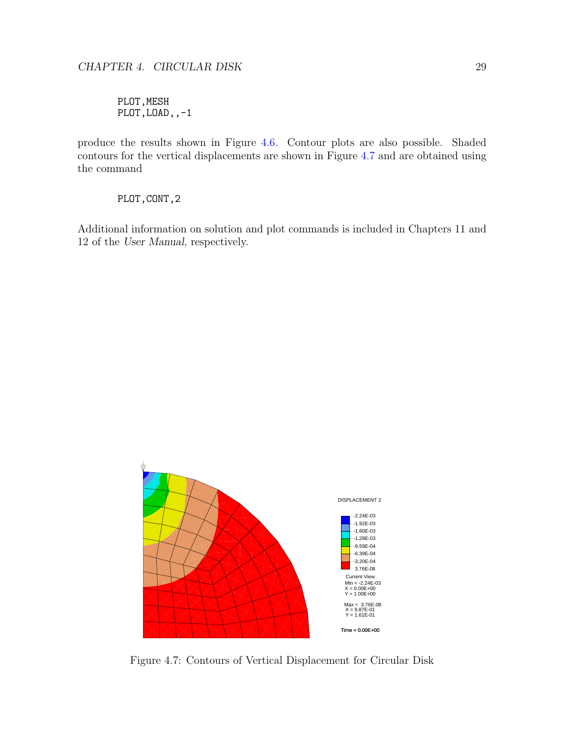PLOT, MESH PLOT,LOAD,,-1

produce the results shown in Figure [4.6.](#page-28-0) Contour plots are also possible. Shaded contours for the vertical displacements are shown in Figure [4.7](#page-30-0) and are obtained using the command

PLOT,CONT,2

Additional information on solution and plot commands is included in Chapters 11 and 12 of the User Manual, respectively.



<span id="page-30-0"></span>Figure 4.7: Contours of Vertical Displacement for Circular Disk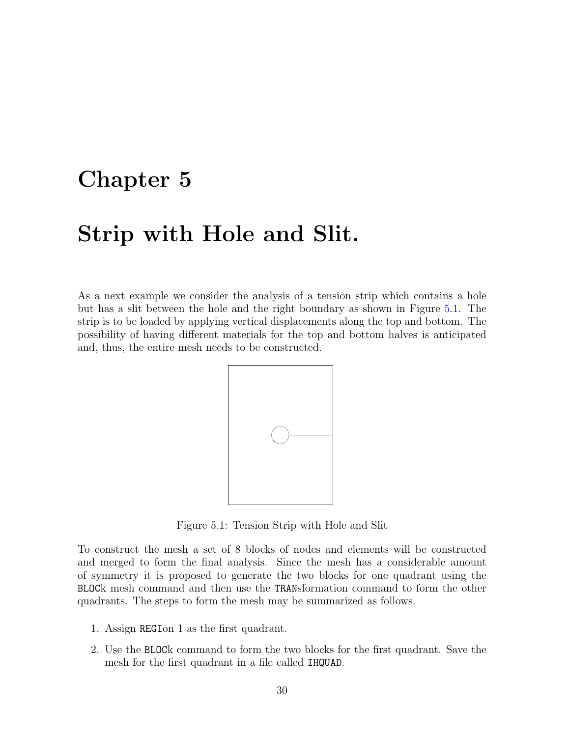### <span id="page-31-0"></span>Chapter 5

### Strip with Hole and Slit.

As a next example we consider the analysis of a tension strip which contains a hole but has a slit between the hole and the right boundary as shown in Figure [5.1.](#page-31-1) The strip is to be loaded by applying vertical displacements along the top and bottom. The possibility of having different materials for the top and bottom halves is anticipated and, thus, the entire mesh needs to be constructed.



<span id="page-31-1"></span>Figure 5.1: Tension Strip with Hole and Slit

To construct the mesh a set of 8 blocks of nodes and elements will be constructed and merged to form the final analysis. Since the mesh has a considerable amount of symmetry it is proposed to generate the two blocks for one quadrant using the BLOCk mesh command and then use the TRANsformation command to form the other quadrants. The steps to form the mesh may be summarized as follows.

- 1. Assign REGIon 1 as the first quadrant.
- 2. Use the BLOCk command to form the two blocks for the first quadrant. Save the mesh for the first quadrant in a file called IHQUAD.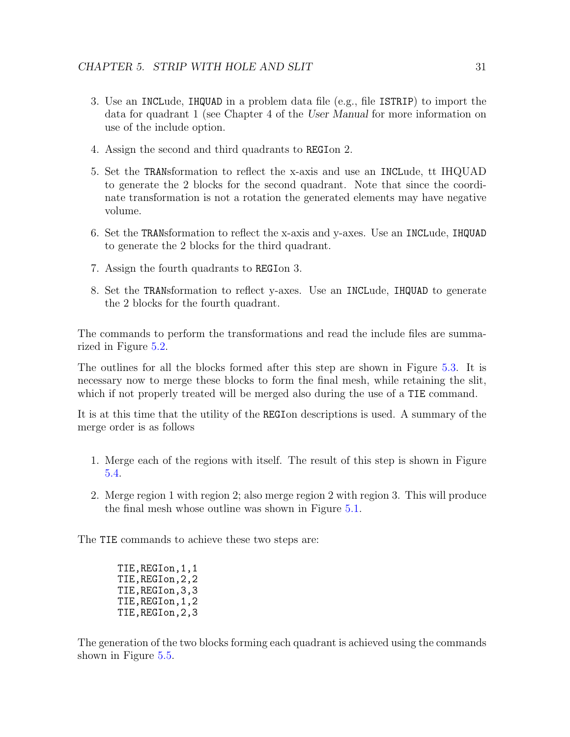- 3. Use an INCLude, IHQUAD in a problem data file (e.g., file ISTRIP) to import the data for quadrant 1 (see Chapter 4 of the User Manual for more information on use of the include option.
- 4. Assign the second and third quadrants to REGIon 2.
- 5. Set the TRANsformation to reflect the x-axis and use an INCLude, tt IHQUAD to generate the 2 blocks for the second quadrant. Note that since the coordinate transformation is not a rotation the generated elements may have negative volume.
- 6. Set the TRANsformation to reflect the x-axis and y-axes. Use an INCLude, IHQUAD to generate the 2 blocks for the third quadrant.
- 7. Assign the fourth quadrants to REGIon 3.
- 8. Set the TRANsformation to reflect y-axes. Use an INCLude, IHQUAD to generate the 2 blocks for the fourth quadrant.

The commands to perform the transformations and read the include files are summarized in Figure [5.2.](#page-33-0)

The outlines for all the blocks formed after this step are shown in Figure [5.3.](#page-34-0) It is necessary now to merge these blocks to form the final mesh, while retaining the slit, which if not properly treated will be merged also during the use of a TIE command.

It is at this time that the utility of the REGIon descriptions is used. A summary of the merge order is as follows

- 1. Merge each of the regions with itself. The result of this step is shown in Figure [5.4.](#page-34-1)
- 2. Merge region 1 with region 2; also merge region 2 with region 3. This will produce the final mesh whose outline was shown in Figure [5.1.](#page-31-1)

The TIE commands to achieve these two steps are:

TIE,REGIon,1,1 TIE,REGIon,2,2 TIE,REGIon,3,3 TIE,REGIon,1,2 TIE,REGIon,2,3

The generation of the two blocks forming each quadrant is achieved using the commands shown in Figure [5.5.](#page-35-0)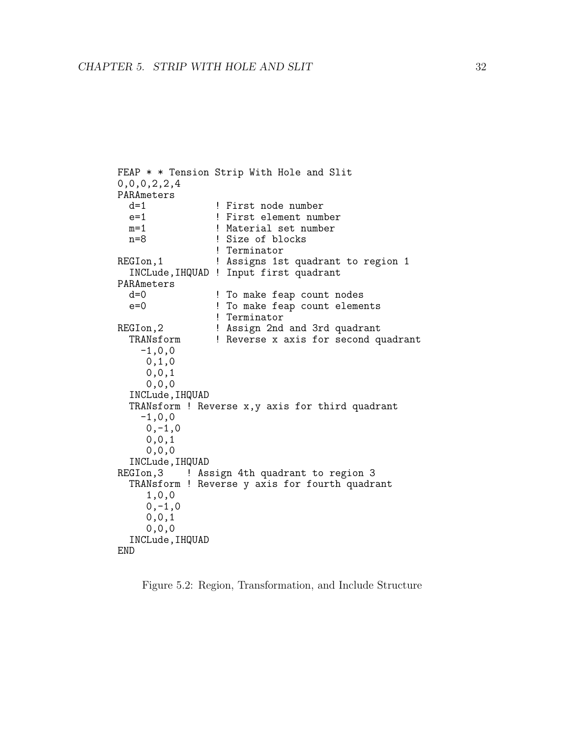```
FEAP * * Tension Strip With Hole and Slit
0,0,0,2,2,4
PARAmeters<br>d=1
   d=1 <br>e=1 <br>e=1 <br>Pirst element num
                         ! First element number
  m=1 <br>
1 ! Material set number<br>
1 : Size of blocks
                         ! Size of blocks
                         ! Terminator
REGIon, 1 1 1 2 2 2 3 3 4 Assigns 1st quadrant to region 1
   INCLude,IHQUAD ! Input first quadrant
PARAmeters
   d=0 <br>e=0 <br>e=0 <br>e=0 <br>e=0 <br>e=0 <br>e= 0 <br>e= 0 <br>e= 0 <br>e= 0 <br>e= 0 <br>e= 0 <br>e= 0 <br>e= 0 <br>e= 0 <br>e= 0 <br>e= 0 <br>e= 0 <br>e= 0 <br>e= 0 <br>e= 0 <br>e= 0 <br>e= 0 <br>e= 0 <br>e= 0 <br>e= 0 <br>e= 0 <br>e= 0 <br>e= 0 <br>e= 0 <br>e= 0 <br>e= 0 <br>e= 0 <br>e= 0 <br>e= 0 <br>e= 0 <br>e<br><br>e<br><br>e<br>
                         ! To make feap count elements
                         ! Terminator
REGIon, 2 | Assign 2nd and 3rd quadrant<br>TRANsform | Reverse x axis for second quadrant
                         ! Reverse x axis for second quadrant
      -1,0,00,1,0
       0,0,1
        0,0,0
   INCLude,IHQUAD
   TRANsform ! Reverse x,y axis for third quadrant
      -1,0,00, -1, 00,0,1
       0,0,0
   INCLude,IHQUAD
REGIon, 3 ! Assign 4th quadrant to region 3
   TRANsform ! Reverse y axis for fourth quadrant
        1,0,0
        0, -1, 00,0,1
       0,0,0
   INCLude,IHQUAD
END
```
<span id="page-33-0"></span>Figure 5.2: Region, Transformation, and Include Structure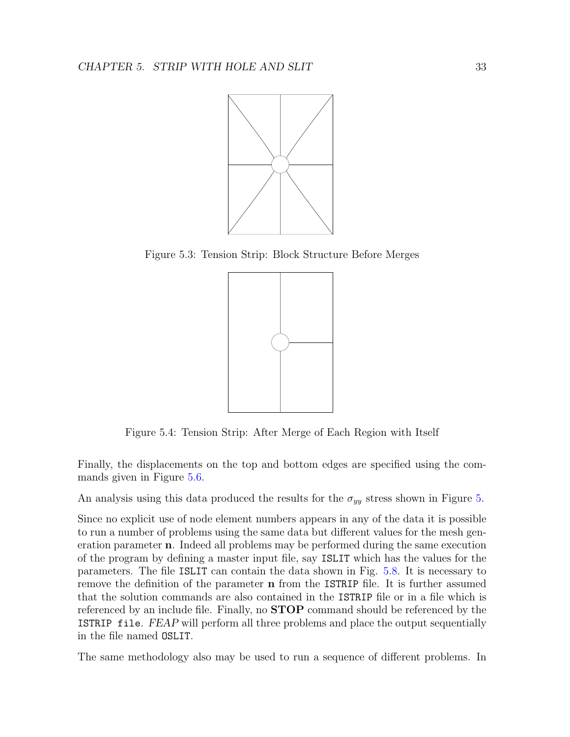

Figure 5.3: Tension Strip: Block Structure Before Merges

<span id="page-34-0"></span>

<span id="page-34-1"></span>Figure 5.4: Tension Strip: After Merge of Each Region with Itself

Finally, the displacements on the top and bottom edges are specified using the commands given in Figure [5.6.](#page-35-1)

An analysis using this data produced the results for the  $\sigma_{yy}$  stress shown in Figure [5.](#page-36-0)

Since no explicit use of node element numbers appears in any of the data it is possible to run a number of problems using the same data but different values for the mesh generation parameter n. Indeed all problems may be performed during the same execution of the program by defining a master input file, say ISLIT which has the values for the parameters. The file ISLIT can contain the data shown in Fig. [5.8.](#page-36-1) It is necessary to remove the definition of the parameter n from the ISTRIP file. It is further assumed that the solution commands are also contained in the ISTRIP file or in a file which is referenced by an include file. Finally, no **STOP** command should be referenced by the ISTRIP file. FEAP will perform all three problems and place the output sequentially in the file named OSLIT.

The same methodology also may be used to run a sequence of different problems. In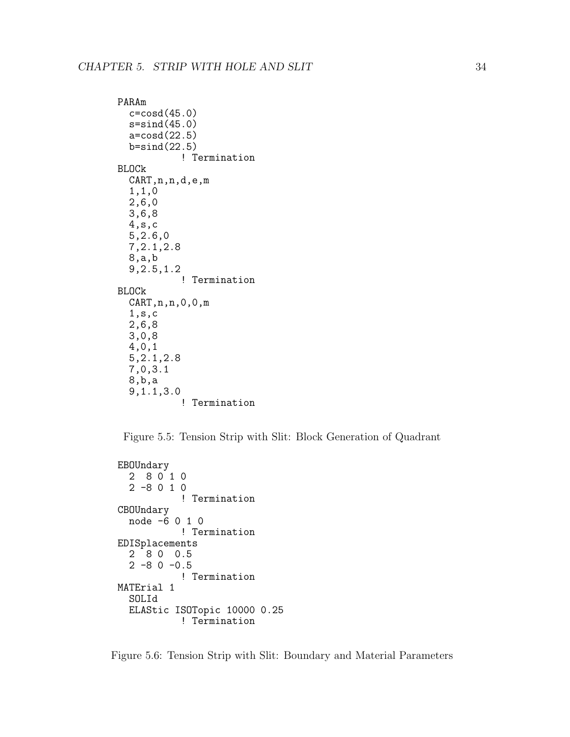```
PARAm
  c = \cos d(45.0)s=sind(45.0)a=cosd(22.5)
  b=sind(22.5)! Termination
BLOCk
  CART,n,n,d,e,m
  1,1,0
  2,6,0
  3,6,8
  4,s,c
  5,2.6,0
  7,2.1,2.8
  8,a,b
  9,2.5,1.2
           ! Termination
BLOCk
  CART,n,n,0,0,m
  1,s,c
  2,6,8
  3,0,8
  4,0,1
  5,2.1,2.8
  7,0,3.1
  8,b,a
  9,1.1,3.0
           ! Termination
```
<span id="page-35-0"></span>Figure 5.5: Tension Strip with Slit: Block Generation of Quadrant

```
EBOUndary
  280102 -8 0 1 0
           ! Termination
CBOUndary
  node -6 0 1 0
           ! Termination
EDISplacements
  2 8 0 0.5
  2 -80 -0.5! Termination
MATErial 1
  SOLId
  ELAStic ISOTopic 10000 0.25
           ! Termination
```
<span id="page-35-1"></span>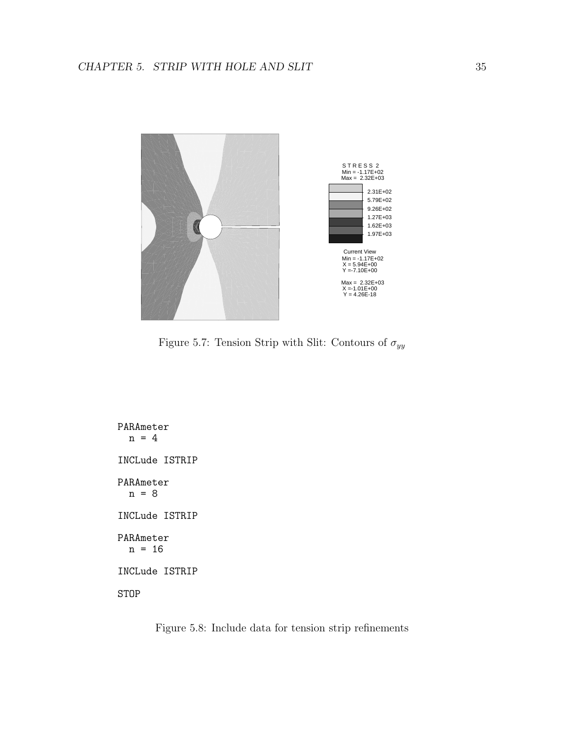

Figure 5.7: Tension Strip with Slit: Contours of  $\sigma_{yy}$ 

<span id="page-36-0"></span>PARAmeter  $n = 4$ INCLude ISTRIP PARAmeter n = 8 INCLude ISTRIP PARAmeter  $n = 16$ INCLude ISTRIP STOP

<span id="page-36-1"></span>Figure 5.8: Include data for tension strip refinements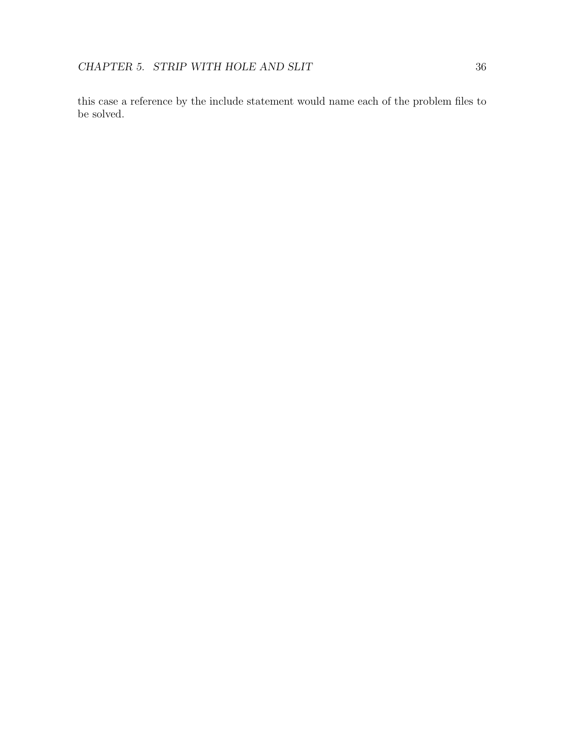this case a reference by the include statement would name each of the problem files to be solved.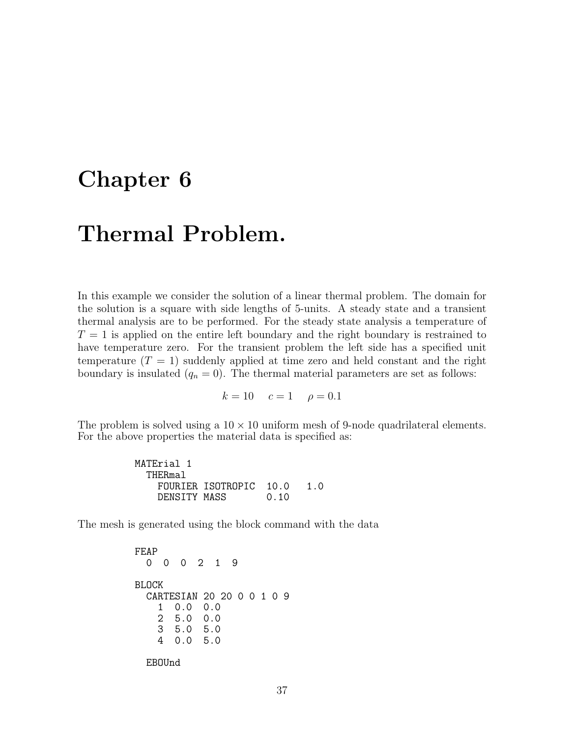### <span id="page-38-0"></span>Chapter 6

## Thermal Problem.

In this example we consider the solution of a linear thermal problem. The domain for the solution is a square with side lengths of 5-units. A steady state and a transient thermal analysis are to be performed. For the steady state analysis a temperature of  $T = 1$  is applied on the entire left boundary and the right boundary is restrained to have temperature zero. For the transient problem the left side has a specified unit temperature  $(T = 1)$  suddenly applied at time zero and held constant and the right boundary is insulated  $(q_n = 0)$ . The thermal material parameters are set as follows:

 $k = 10$   $c = 1$   $\rho = 0.1$ 

The problem is solved using a  $10 \times 10$  uniform mesh of 9-node quadrilateral elements. For the above properties the material data is specified as:

> MATErial 1 THERmal FOURIER ISOTROPIC 10.0 1.0<br>DENSITY MASS 0.10 DENSITY MASS

The mesh is generated using the block command with the data

FEAP 0 0 0 2 1 9 BLOCK CARTESIAN 20 20 0 0 1 0 9 1 0.0 0.0 2 5.0 0.0 3 5.0 5.0 4 0.0 5.0

EBOUnd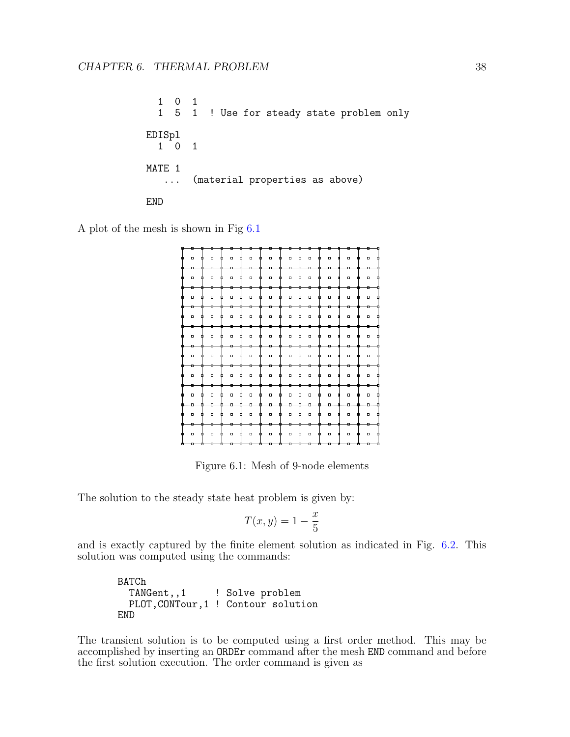$\begin{array}{ccccc}\n1 & 0 & 1 \\
1 & 5 & 1\n\end{array}$ ! Use for steady state problem only EDISpl 1 0 1 MATE 1 ... (material properties as above) END

A plot of the mesh is shown in Fig [6.1](#page-39-0)



Figure 6.1: Mesh of 9-node elements

The solution to the steady state heat problem is given by:

<span id="page-39-0"></span>
$$
T(x,y) = 1 - \frac{x}{5}
$$

and is exactly captured by the finite element solution as indicated in Fig. [6.2.](#page-40-0) This solution was computed using the commands:

BATCh<br>TANGent,,1 ! Solve problem PLOT,CONTour,1 ! Contour solution END

The transient solution is to be computed using a first order method. This may be accomplished by inserting an ORDEr command after the mesh END command and before the first solution execution. The order command is given as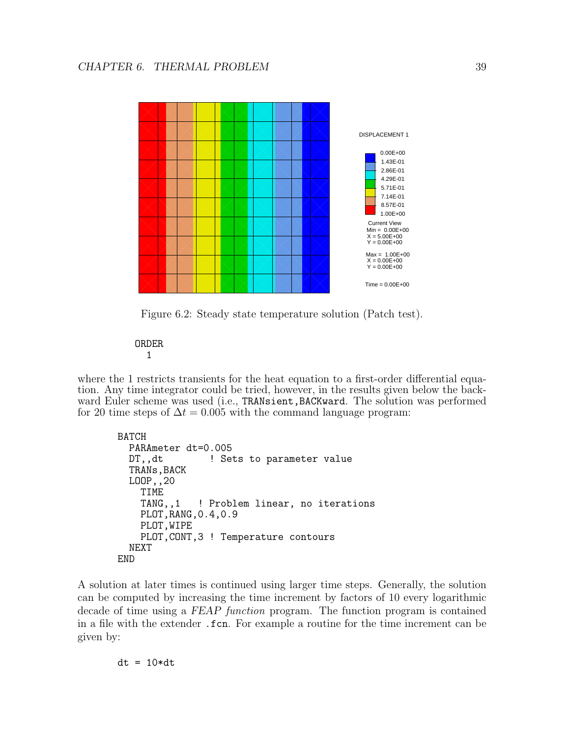

<span id="page-40-0"></span>Figure 6.2: Steady state temperature solution (Patch test).

ORDER 1

where the 1 restricts transients for the heat equation to a first-order differential equation. Any time integrator could be tried, however, in the results given below the backward Euler scheme was used (i.e., TRANsient, BACKward. The solution was performed for 20 time steps of  $\Delta t = 0.005$  with the command language program:

```
BATCH
  PARAmeter dt=0.005
  DT,, dt <br> 9. Sets to parameter value
  TRANs, BACK
  LOOP,,20
    TIME
    TANG,,1 ! Problem linear, no iterations
    PLOT,RANG,0.4,0.9
    PLOT,WIPE
    PLOT,CONT,3 ! Temperature contours
  NEXT
END
```
A solution at later times is continued using larger time steps. Generally, the solution can be computed by increasing the time increment by factors of 10 every logarithmic decade of time using a FEAP function program. The function program is contained in a file with the extender .fcn. For example a routine for the time increment can be given by:

 $dt = 10*dt$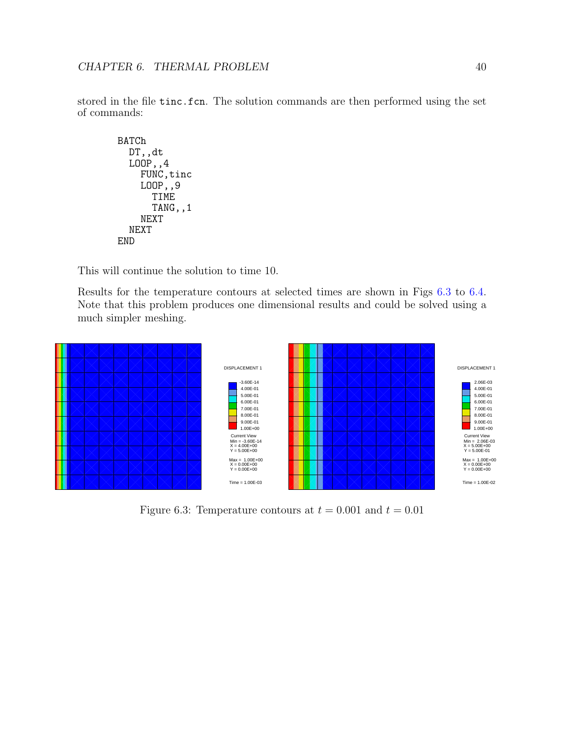stored in the file tinc.fcn. The solution commands are then performed using the set of commands:

```
BATCh
  DT,,dt
  LOOP,,4
    FUNC, tinc
    LOOP,,9
      TIME
      TANG,,1
    NEXT
  NEXT
END
```
This will continue the solution to time 10.

Results for the temperature contours at selected times are shown in Figs [6.3](#page-41-0) to [6.4.](#page-42-0) Note that this problem produces one dimensional results and could be solved using a much simpler meshing.



<span id="page-41-0"></span>Figure 6.3: Temperature contours at  $t = 0.001$  and  $t = 0.01$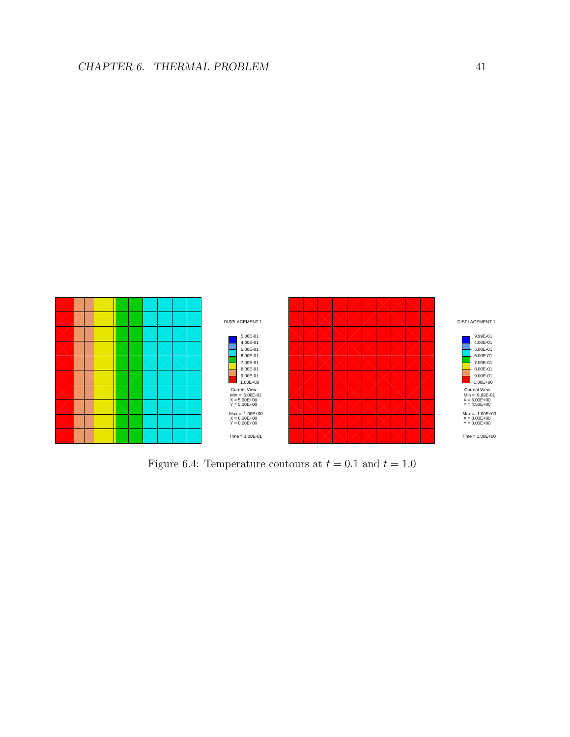

<span id="page-42-0"></span>Figure 6.4: Temperature contours at  $t = 0.1$  and  $t = 1.0$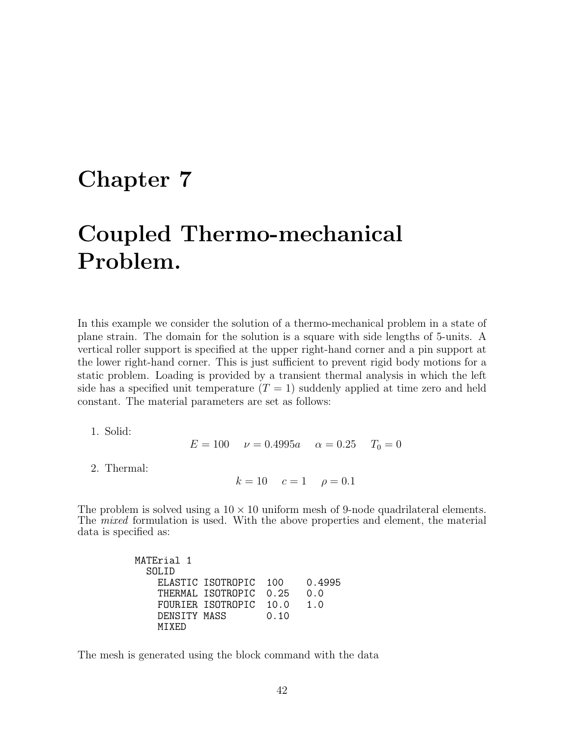### <span id="page-43-0"></span>Chapter 7

# Coupled Thermo-mechanical Problem.

In this example we consider the solution of a thermo-mechanical problem in a state of plane strain. The domain for the solution is a square with side lengths of 5-units. A vertical roller support is specified at the upper right-hand corner and a pin support at the lower right-hand corner. This is just sufficient to prevent rigid body motions for a static problem. Loading is provided by a transient thermal analysis in which the left side has a specified unit temperature  $(T = 1)$  suddenly applied at time zero and held constant. The material parameters are set as follows:

1. Solid:

 $E = 100$   $v = 0.4995a$   $\alpha = 0.25$   $T_0 = 0$ 

2. Thermal:

 $k = 10$   $c = 1$   $\rho = 0.1$ 

The problem is solved using a  $10 \times 10$  uniform mesh of 9-node quadrilateral elements. The mixed formulation is used. With the above properties and element, the material data is specified as:

| 100                                                                         | 0.4995 |
|-----------------------------------------------------------------------------|--------|
| 0.25                                                                        | 0.0    |
| 10.0                                                                        | 1.0    |
| 0.10                                                                        |        |
|                                                                             |        |
| ELASTIC ISOTROPIC<br>THERMAL ISOTROPIC<br>FOURTER ISOTROPIC<br>DENSITY MASS |        |

The mesh is generated using the block command with the data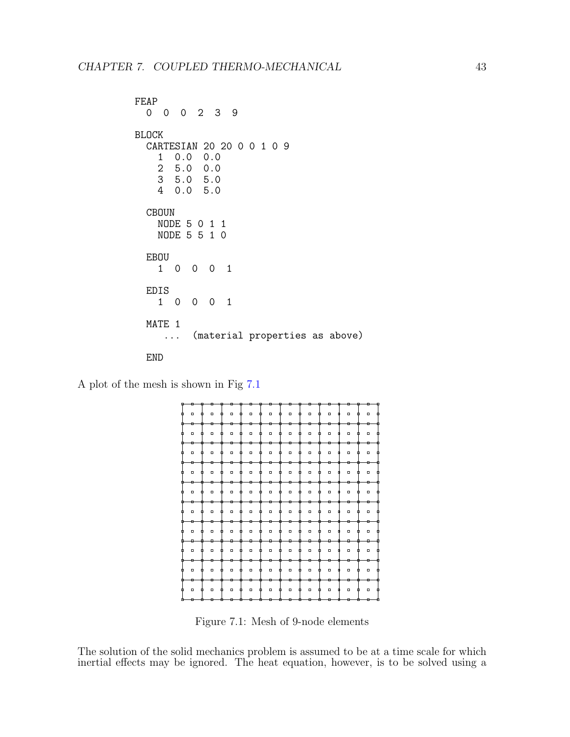```
FEAP
 0 0 0 2 3 9
BLOCK
 CARTESIAN 20 20 0 0 1 0 9
   1 0.0 0.0
   2 5.0 0.0
     3 5.0 5.0
   4 0.0 5.0
 CBOUN
   NODE 5 0 1 1
   NODE 5 5 1 0
 EBOU
   1 0 0 0 1
 EDIS
   1 0 0 0 1
 MATE 1
     ... (material properties as above)
 END
```
A plot of the mesh is shown in Fig [7.1](#page-44-0)



<span id="page-44-0"></span>Figure 7.1: Mesh of 9-node elements

The solution of the solid mechanics problem is assumed to be at a time scale for which inertial effects may be ignored. The heat equation, however, is to be solved using a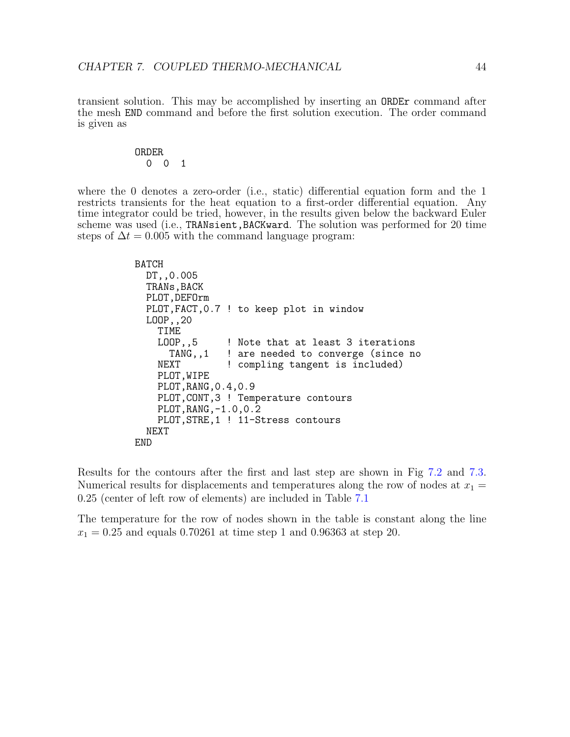transient solution. This may be accomplished by inserting an ORDEr command after the mesh END command and before the first solution execution. The order command is given as

#### ORDER 0 0 1

where the 0 denotes a zero-order (i.e., static) differential equation form and the 1 restricts transients for the heat equation to a first-order differential equation. Any time integrator could be tried, however, in the results given below the backward Euler scheme was used (i.e., TRANsient, BACKward. The solution was performed for 20 time steps of  $\Delta t = 0.005$  with the command language program:

```
BATCH
  DT,,0.005
  TRANs, BACK
  PLOT,DEFOrm
  PLOT,FACT,0.7 ! to keep plot in window
  LOOP,,20
    TIME<br>LOOP,,5
       OP,,5 ! Note that at least 3 iterations<br>TANG,,1 ! are needed to converge (since no
                  ! are needed to converge (since no
    NEXT ! compling tangent is included)
    PLOT, WIPE
    PLOT,RANG,0.4,0.9
    PLOT,CONT,3 ! Temperature contours
    PLOT,RANG,-1.0,0.2
    PLOT, STRE, 1 ! 11-Stress contours
  NEXT
END
```
Results for the contours after the first and last step are shown in Fig [7.2](#page-46-0) and [7.3.](#page-46-1) Numerical results for displacements and temperatures along the row of nodes at  $x_1 =$ 0.25 (center of left row of elements) are included in Table [7.1](#page-47-0)

The temperature for the row of nodes shown in the table is constant along the line  $x_1 = 0.25$  and equals 0.70261 at time step 1 and 0.96363 at step 20.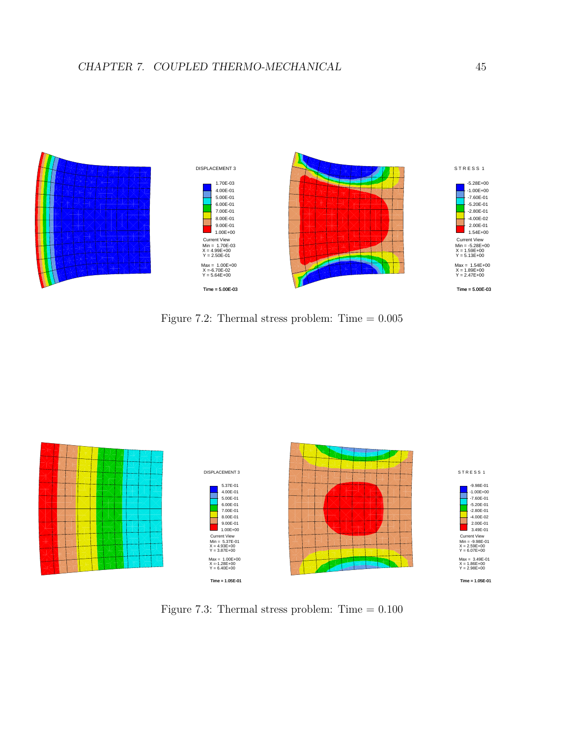

<span id="page-46-0"></span>Figure 7.2: Thermal stress problem: Time  $= 0.005$ 



<span id="page-46-1"></span>Figure 7.3: Thermal stress problem: Time  $= 0.100$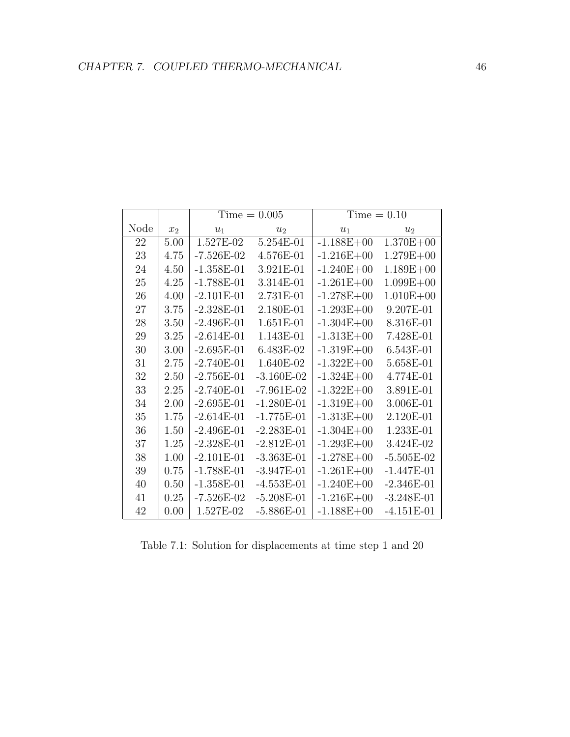|      |       |              | $Time = 0.005$ | $Time = 0.10$  |               |  |
|------|-------|--------------|----------------|----------------|---------------|--|
| Node | $x_2$ | $u_1$        | u <sub>2</sub> | $u_1$          | $u_2$         |  |
| 22   | 5.00  | 1.527E-02    | 5.254E-01      | $-1.188E + 00$ | $1.370E + 00$ |  |
| 23   | 4.75  | $-7.526E-02$ | 4.576E-01      | $-1.216E + 00$ | $1.279E + 00$ |  |
| 24   | 4.50  | $-1.358E-01$ | 3.921E-01      | $-1.240E + 00$ | $1.189E + 00$ |  |
| 25   | 4.25  | $-1.788E-01$ | 3.314E-01      | $-1.261E + 00$ | $1.099E + 00$ |  |
| 26   | 4.00  | $-2.101E-01$ | 2.731E-01      | $-1.278E + 00$ | $1.010E + 00$ |  |
| 27   | 3.75  | $-2.328E-01$ | 2.180E-01      | $-1.293E + 00$ | 9.207E-01     |  |
| 28   | 3.50  | $-2.496E-01$ | 1.651E-01      | $-1.304E + 00$ | 8.316E-01     |  |
| 29   | 3.25  | $-2.614E-01$ | 1.143E-01      | $-1.313E + 00$ | 7.428E-01     |  |
| 30   | 3.00  | $-2.695E-01$ | 6.483E-02      | $-1.319E + 00$ | 6.543E-01     |  |
| 31   | 2.75  | $-2.740E-01$ | 1.640E-02      | $-1.322E + 00$ | 5.658E-01     |  |
| 32   | 2.50  | $-2.756E-01$ | $-3.160E-02$   | $-1.324E + 00$ | 4.774E-01     |  |
| 33   | 2.25  | $-2.740E-01$ | $-7.961E-02$   | $-1.322E + 00$ | 3.891E-01     |  |
| 34   | 2.00  | $-2.695E-01$ | $-1.280E-01$   | $-1.319E + 00$ | 3.006E-01     |  |
| 35   | 1.75  | $-2.614E-01$ | $-1.775E-01$   | $-1.313E + 00$ | 2.120E-01     |  |
| 36   | 1.50  | $-2.496E-01$ | $-2.283E-01$   | $-1.304E + 00$ | 1.233E-01     |  |
| 37   | 1.25  | $-2.328E-01$ | $-2.812E-01$   | $-1.293E + 00$ | 3.424E-02     |  |
| 38   | 1.00  | $-2.101E-01$ | $-3.363E-01$   | $-1.278E + 00$ | $-5.505E-02$  |  |
| 39   | 0.75  | $-1.788E-01$ | $-3.947E-01$   | $-1.261E + 00$ | $-1.447E-01$  |  |
| 40   | 0.50  | $-1.358E-01$ | $-4.553E-01$   | $-1.240E + 00$ | $-2.346E-01$  |  |
| 41   | 0.25  | $-7.526E-02$ | $-5.208E-01$   | $-1.216E + 00$ | $-3.248E-01$  |  |
| 42   | 0.00  | 1.527E-02    | $-5.886E-01$   | $-1.188E + 00$ | $-4.151E-01$  |  |

<span id="page-47-0"></span>Table 7.1: Solution for displacements at time step 1 and 20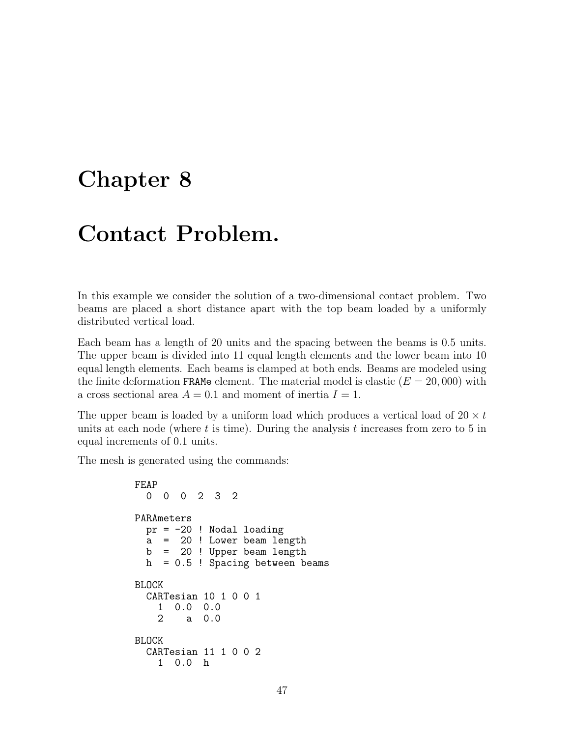### <span id="page-48-0"></span>Chapter 8

## Contact Problem.

In this example we consider the solution of a two-dimensional contact problem. Two beams are placed a short distance apart with the top beam loaded by a uniformly distributed vertical load.

Each beam has a length of 20 units and the spacing between the beams is 0.5 units. The upper beam is divided into 11 equal length elements and the lower beam into 10 equal length elements. Each beams is clamped at both ends. Beams are modeled using the finite deformation FRAMe element. The material model is elastic  $(E = 20,000)$  with a cross sectional area  $A = 0.1$  and moment of inertia  $I = 1$ .

The upper beam is loaded by a uniform load which produces a vertical load of  $20 \times t$ units at each node (where t is time). During the analysis t increases from zero to 5 in equal increments of 0.1 units.

The mesh is generated using the commands:

```
FEAP
  0 0 0 2 3 2
PARAmeters
  pr = -20 ! Nodal loading
  a = 20 ! Lower beam length
  b = 20 ! Upper beam length
  h = 0.5 ! Spacing between beams
BLOCK
  CARTesian 10 1 0 0 1
    1 0.0 0.0
        2 a 0.0
BLOCK
  CARTesian 11 1 0 0 2
    1 0.0 h
```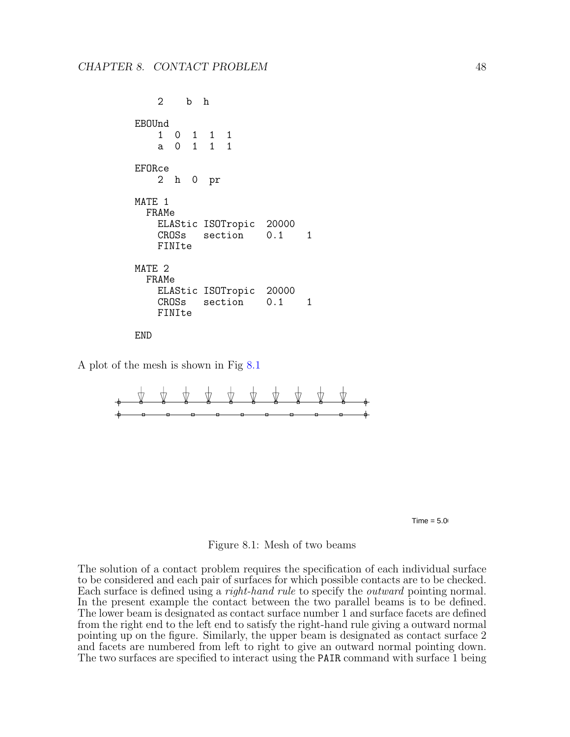```
2 b h
EBOUnd
    1 0 1 1 1
    a 0 1 1 1
EFORce
    2 h 0 pr
MATE 1
  FRAMe
    ELAStic ISOTropic 20000<br>CROSs section 0.1
    CROSs section 0.1 1
    FINIte
MATE 2
  FRAMe
    ELAStic ISOTropic 20000<br>CROSs section 0.1
             section 0.1 1
    FINIte
```
END

A plot of the mesh is shown in Fig [8.1](#page-49-0)





#### <span id="page-49-0"></span>Figure 8.1: Mesh of two beams

The solution of a contact problem requires the specification of each individual surface to be considered and each pair of surfaces for which possible contacts are to be checked. Each surface is defined using a *right-hand rule* to specify the *outward* pointing normal. In the present example the contact between the two parallel beams is to be defined. The lower beam is designated as contact surface number 1 and surface facets are defined from the right end to the left end to satisfy the right-hand rule giving a outward normal pointing up on the figure. Similarly, the upper beam is designated as contact surface 2 and facets are numbered from left to right to give an outward normal pointing down. The two surfaces are specified to interact using the PAIR command with surface 1 being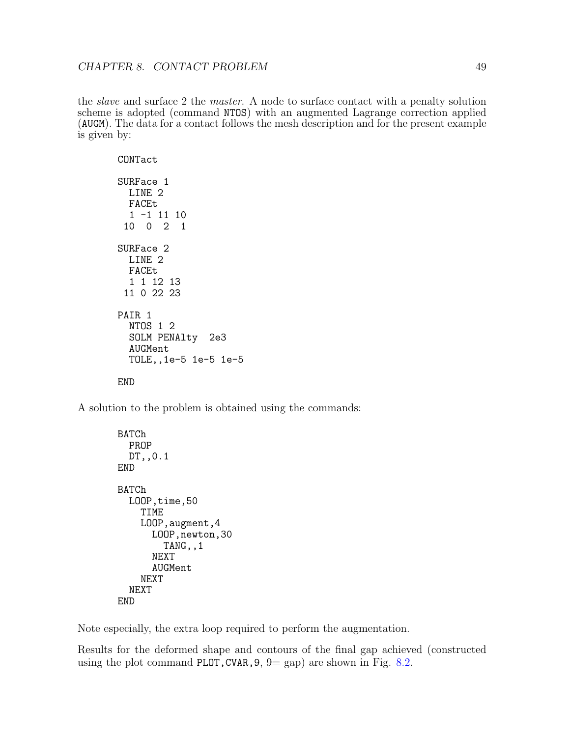the slave and surface 2 the master. A node to surface contact with a penalty solution scheme is adopted (command NTOS) with an augmented Lagrange correction applied (AUGM). The data for a contact follows the mesh description and for the present example is given by:

CONTact SURFace 1 LINE 2 FACEt  $1 -1 11 10$ <br>0 0 2 1 10 0 2 1 SURFace 2 LINE 2 FACEt 1 1 12 13 11 0 22 23 PAIR 1 NTOS 1 2 SOLM PENAlty 2e3 AUGMent TOLE,,1e-5 1e-5 1e-5 END

A solution to the problem is obtained using the commands:

```
BATCh
  PROP
  DT,,0.1
END
BATCh
  LOOP,time,50
    TIME
    LOOP,augment,4
      LOOP, newton, 30
        TANG,,1
      NEXT
      AUGMent
    NEXT
  NEXT
END
```
Note especially, the extra loop required to perform the augmentation.

Results for the deformed shape and contours of the final gap achieved (constructed using the plot command PLOT, CVAR,  $9 = \text{gap}$  are shown in Fig. [8.2.](#page-51-0)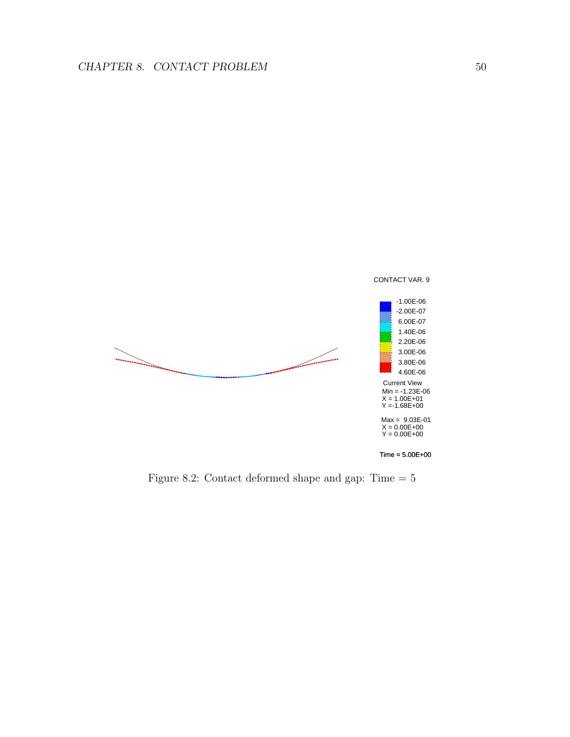

<span id="page-51-0"></span>Figure 8.2: Contact deformed shape and gap: Time  $=\,5$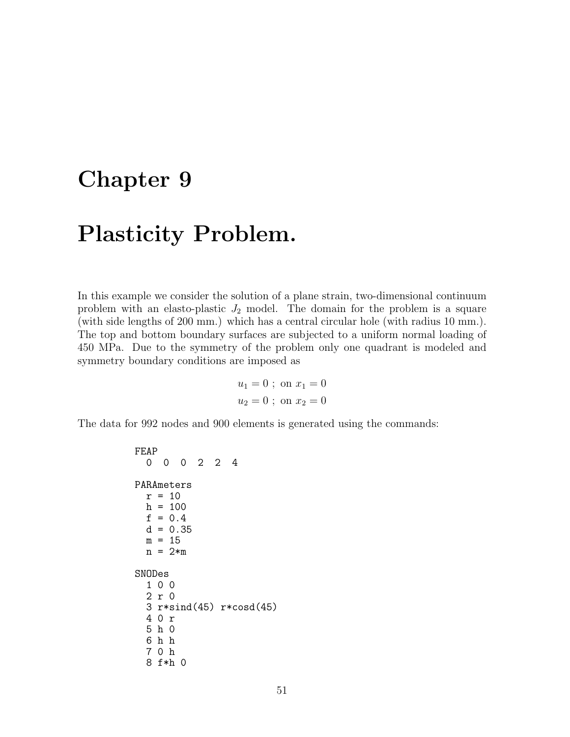### <span id="page-52-0"></span>Chapter 9

## Plasticity Problem.

In this example we consider the solution of a plane strain, two-dimensional continuum problem with an elasto-plastic  $J_2$  model. The domain for the problem is a square (with side lengths of 200 mm.) which has a central circular hole (with radius 10 mm.). The top and bottom boundary surfaces are subjected to a uniform normal loading of 450 MPa. Due to the symmetry of the problem only one quadrant is modeled and symmetry boundary conditions are imposed as

$$
u_1 = 0
$$
; on  $x_1 = 0$   
 $u_2 = 0$ ; on  $x_2 = 0$ 

The data for 992 nodes and 900 elements is generated using the commands:

```
FEAP
 0 0 0 2 2 4
PARAmeters
 r = 10h = 100f = 0.4d = 0.35m = 15n = 2*mSNODes
  1 0 0
  2 r 0
  3 r*sind(45) r*cosd(45)
  4 0 r
  5 h 0
  6 h h
  7 0 h
  8 f*h 0
```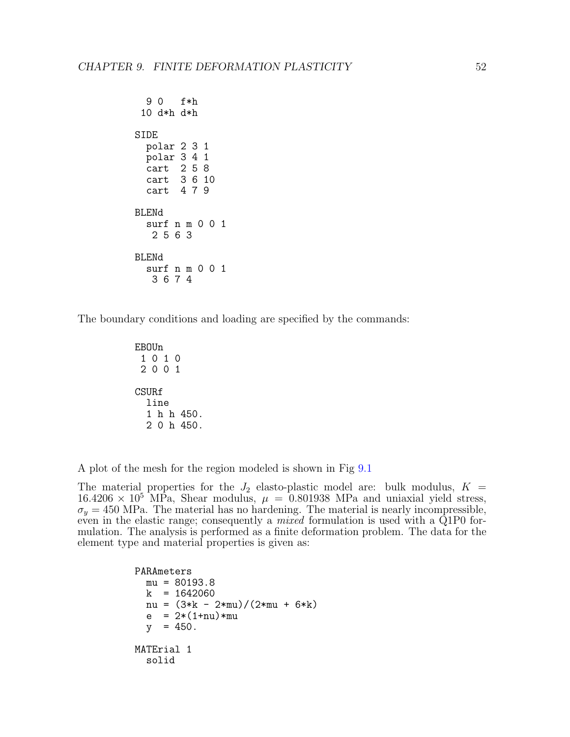```
9 0 f*h
 10 d*h d*h
SIDE
 polar 2 3 1
 polar 3 4 1
 cart 2 5 8
  cart 3 6 10
  cart 4 7 9
BLENd
  surf n m 0 0 1
  2 5 6 3
BLENd
  surf n m 0 0 1
  3 6 7 4
```
The boundary conditions and loading are specified by the commands:

```
EBOUn
 1 0 1 0
 2 0 0 1
CSURf
  line
  1 h h 450.
  2 0 h 450.
```
A plot of the mesh for the region modeled is shown in Fig [9.1](#page-54-0)

The material properties for the  $J_2$  elasto-plastic model are: bulk modulus,  $K =$  $16.4206 \times 10^5$  MPa, Shear modulus,  $\mu = 0.801938$  MPa and uniaxial yield stress,  $\sigma_y = 450$  MPa. The material has no hardening. The material is nearly incompressible, even in the elastic range; consequently a *mixed* formulation is used with a Q1P0 formulation. The analysis is performed as a finite deformation problem. The data for the element type and material properties is given as:

> PARAmeters  $mu = 80193.8$  $k = 1642060$ nu =  $(3*k - 2*mu)/(2*mu + 6*k)$  $e = 2*(1+nu)*mu$  $y = 450$ . MATErial 1 solid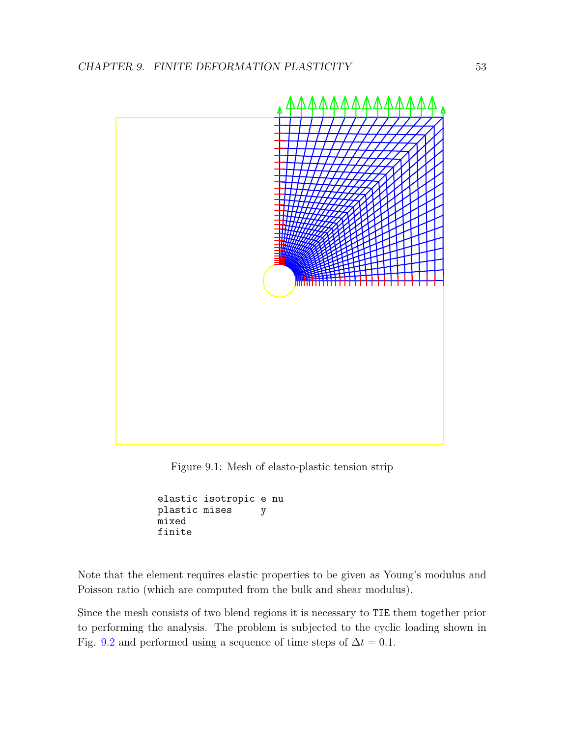

<span id="page-54-0"></span>Figure 9.1: Mesh of elasto-plastic tension strip

```
elastic isotropic e nu
plastic mises y
mixed
finite
```
Note that the element requires elastic properties to be given as Young's modulus and Poisson ratio (which are computed from the bulk and shear modulus).

Since the mesh consists of two blend regions it is necessary to TIE them together prior to performing the analysis. The problem is subjected to the cyclic loading shown in Fig. [9.2](#page-55-0) and performed using a sequence of time steps of  $\Delta t = 0.1$ .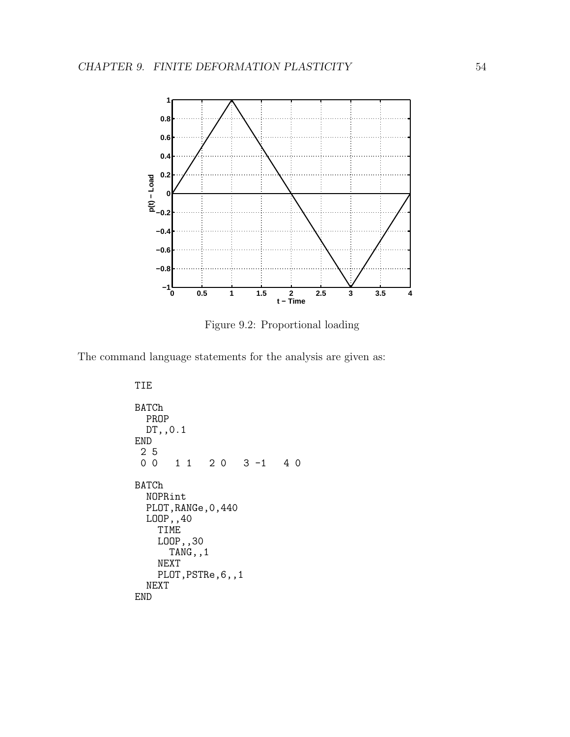

<span id="page-55-0"></span>Figure 9.2: Proportional loading

The command language statements for the analysis are given as:

TIE BATCh PROP DT, , 0.1 END  $\begin{array}{c} 2 \\ 0 \\ 0 \end{array}$ 0 0 1 1 2 0 3 -1 4 0 BATCh NOPRint PLOT,RANGe,0,440 LOOP,,40 TIME LOOP,,30 TANG,,1 NEXT PLOT, PSTRe, 6,, 1 NEXT END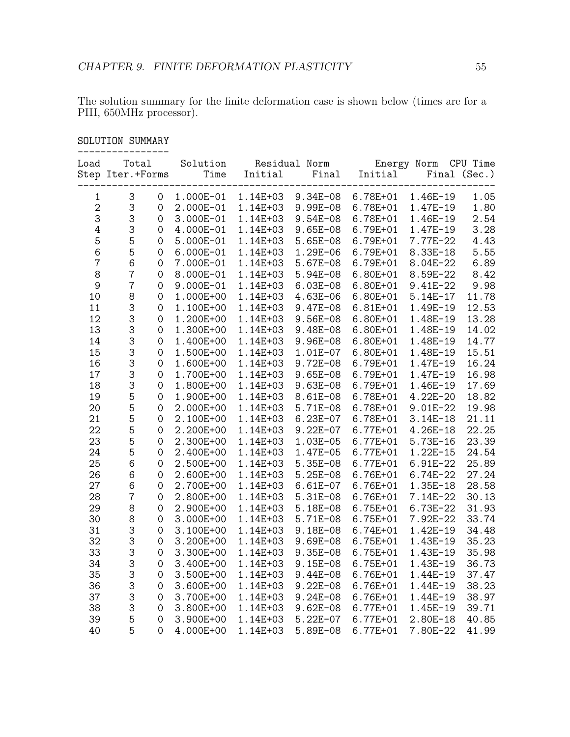The solution summary for the finite deformation case is shown below (times are for a PIII, 650MHz processor).

| Load           | Total<br>Step Iter.+Forms     | Solution  | Time<br>Initial | Residual Norm<br>Final | Initial  | Energy Norm  | CPU Time<br>Final (Sec.) |
|----------------|-------------------------------|-----------|-----------------|------------------------|----------|--------------|--------------------------|
| $\mathbf{1}$   | 3<br>$\mathsf{O}\xspace$      | 1.000E-01 | 1.14E+03        | 9.34E-08               | 6.78E+01 | 1.46E-19     | 1.05                     |
| $\mathbf 2$    | 3<br>$\mathsf{O}\xspace$      | 2.000E-01 | 1.14E+03        | 9.99E-08               | 6.78E+01 | 1.47E-19     | 1.80                     |
| 3              | 3<br>$\mathsf{O}\xspace$      | 3.000E-01 | 1.14E+03        | 9.54E-08               | 6.78E+01 | 1.46E-19     | 2.54                     |
| 4              | 3<br>0                        | 4.000E-01 | 1.14E+03        | $9.65E-08$             | 6.79E+01 | 1.47E-19     | 3.28                     |
| 5              | 5<br>0                        | 5.000E-01 | 1.14E+03        | 5.65E-08               | 6.79E+01 | 7.77E-22     | 4.43                     |
| 6              | 5<br>$\mathbf 0$              | 6.000E-01 | 1.14E+03        | 1.29E-06               | 6.79E+01 | 8.33E-18     | 5.55                     |
| $\overline{7}$ | 6<br>$\mathsf{O}\xspace$      | 7.000E-01 | 1.14E+03        | 5.67E-08               | 6.79E+01 | 8.04E-22     | 6.89                     |
| 8              | $\overline{7}$<br>$\mathbf 0$ | 8.000E-01 | 1.14E+03        | 5.94E-08               | 6.80E+01 | 8.59E-22     | 8.42                     |
| $\mathsf 9$    | $\overline{7}$<br>$\mathbf 0$ | 9.000E-01 | 1.14E+03        | $6.03E - 08$           | 6.80E+01 | 9.41E-22     | 9.98                     |
| 10             | 8<br>$\mathsf{O}\xspace$      | 1.000E+00 | 1.14E+03        | 4.63E-06               | 6.80E+01 | $5.14E-17$   | 11.78                    |
| 11             | 3<br>$\mathsf{O}\xspace$      | 1.100E+00 | 1.14E+03        | 9.47E-08               | 6.81E+01 | 1.49E-19     | 12.53                    |
| 12             | 3<br>$\mathbf 0$              | 1.200E+00 | 1.14E+03        | 9.56E-08               | 6.80E+01 | 1.48E-19     | 13.28                    |
| 13             | 3<br>$\mathbf 0$              | 1.300E+00 | 1.14E+03        | 9.48E-08               | 6.80E+01 | 1.48E-19     | 14.02                    |
| 14             | 3<br>$\mathsf{O}\xspace$      | 1.400E+00 | 1.14E+03        | 9.96E-08               | 6.80E+01 | 1.48E-19     | 14.77                    |
| 15             | 3<br>$\mathbf 0$              | 1.500E+00 | 1.14E+03        | 1.01E-07               | 6.80E+01 | 1.48E-19     | 15.51                    |
| 16             | 3<br>$\mathbf 0$              | 1.600E+00 | 1.14E+03        | 9.72E-08               | 6.79E+01 | 1.47E-19     | 16.24                    |
| 17             | 3<br>$\mathsf{O}\xspace$      | 1.700E+00 | 1.14E+03        | $9.65E-08$             | 6.79E+01 | 1.47E-19     | 16.98                    |
| 18             | 3<br>$\mathsf{O}\xspace$      | 1.800E+00 | 1.14E+03        | 9.63E-08               | 6.79E+01 | 1.46E-19     | 17.69                    |
| 19             | 5<br>$\mathsf{O}\xspace$      | 1.900E+00 | 1.14E+03        | 8.61E-08               | 6.78E+01 | 4.22E-20     | 18.82                    |
| 20             | 5<br>$\mathsf{O}\xspace$      | 2.000E+00 | 1.14E+03        | 5.71E-08               | 6.78E+01 | 9.01E-22     | 19.98                    |
| 21             | 5<br>$\mathbf 0$              | 2.100E+00 | 1.14E+03        | $6.23E-07$             | 6.78E+01 | $3.14E-18$   | 21.11                    |
| 22             | 5<br>$\mathsf{O}\xspace$      | 2.200E+00 | 1.14E+03        | $9.22E - 07$           | 6.77E+01 | 4.26E-18     | 22.25                    |
| 23             | 5<br>0                        | 2.300E+00 | 1.14E+03        | 1.03E-05               | 6.77E+01 | 5.73E-16     | 23.39                    |
| 24             | 5<br>$\mathsf{O}\xspace$      | 2.400E+00 | 1.14E+03        | 1.47E-05               | 6.77E+01 | $1.22E - 15$ | 24.54                    |
| 25             | 6<br>0                        | 2.500E+00 | 1.14E+03        | 5.35E-08               | 6.77E+01 | 6.91E-22     | 25.89                    |
| 26             | 6<br>0                        | 2.600E+00 | 1.14E+03        | 5.25E-08               | 6.76E+01 | $6.74E - 22$ | 27.24                    |
| 27             | 6<br>$\mathsf{O}\xspace$      | 2.700E+00 | 1.14E+03        | $6.61E-07$             | 6.76E+01 | 1.35E-18     | 28.58                    |
| 28             | $\overline{7}$<br>0           | 2.800E+00 | 1.14E+03        | 5.31E-08               | 6.76E+01 | 7.14E-22     | 30.13                    |
| 29             | 8<br>$\mathsf{O}\xspace$      | 2.900E+00 | 1.14E+03        | 5.18E-08               | 6.75E+01 | 6.73E-22     | 31.93                    |
| 30             | 8<br>$\mathsf{O}\xspace$      | 3.000E+00 | 1.14E+03        | 5.71E-08               | 6.75E+01 | 7.92E-22     | 33.74                    |
| 31             | 3<br>$\mathsf{O}\xspace$      | 3.100E+00 | 1.14E+03        | 9.18E-08               | 6.74E+01 | 1.42E-19     | 34.48                    |
| 32             | 3<br>$\mathsf{O}\xspace$      | 3.200E+00 | 1.14E+03        | 9.69E-08               | 6.75E+01 | 1.43E-19     | 35.23                    |
| 33             | 3<br>$\mathsf{O}\xspace$      | 3.300E+00 | 1.14E+03        | 9.35E-08               | 6.75E+01 | 1.43E-19     | 35.98                    |
| 34             | 3<br>$\mathsf{O}\xspace$      | 3.400E+00 | 1.14E+03        | $9.15E-08$             | 6.75E+01 | 1.43E-19     | 36.73                    |
| 35             | 3<br>$\mathbf 0$              | 3.500E+00 | 1.14E+03        | 9.44E-08               | 6.76E+01 | 1.44E-19     | 37.47                    |
| 36             | 3<br>$\mathbf 0$              | 3.600E+00 | 1.14E+03        | $9.22E - 08$           | 6.76E+01 | 1.44E-19     | 38.23                    |
| 37             | 3<br>$\mathsf{O}\xspace$      | 3.700E+00 | 1.14E+03        | 9.24E-08               | 6.76E+01 | 1.44E-19     | 38.97                    |
| 38             | 3<br>$\mathsf{O}\xspace$      | 3.800E+00 | 1.14E+03        | $9.62E - 08$           | 6.77E+01 | 1.45E-19     | 39.71                    |
| 39             | 5<br>$\mathbf 0$              | 3.900E+00 | 1.14E+03        | $5.22E-07$             | 6.77E+01 | 2.80E-18     | 40.85                    |
| 40             | 5<br>$\Omega$                 | 4.000E+00 | 1.14E+03        | 5.89E-08               | 6.77E+01 | 7.80E-22     | 41.99                    |

#### SOLUTION SUMMARY ----------------